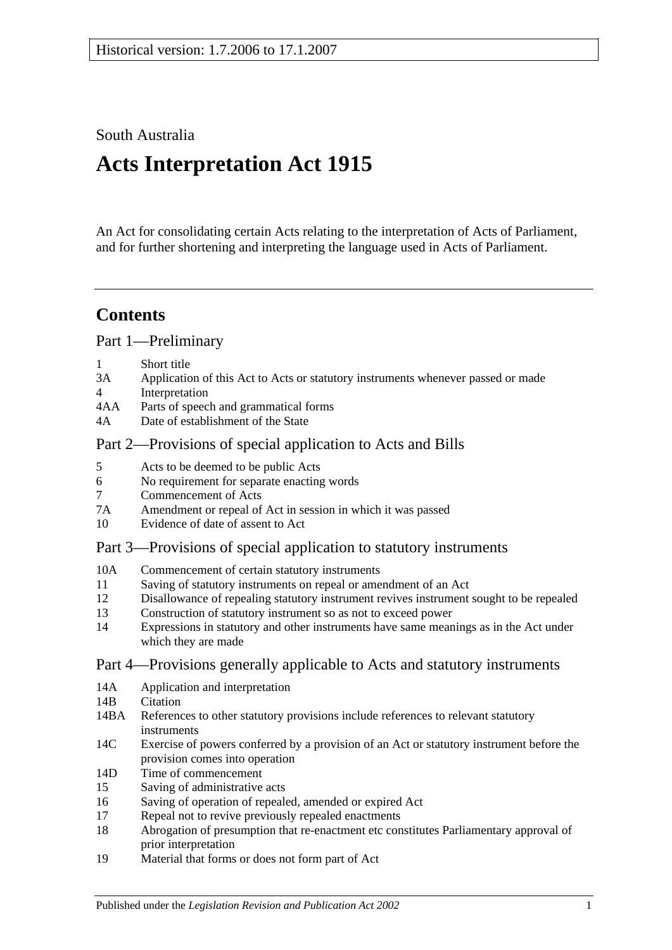South Australia

# **Acts Interpretation Act 1915**

An Act for consolidating certain Acts relating to the interpretation of Acts of Parliament, and for further shortening and interpreting the language used in Acts of Parliament.

## **Contents**

[Part 1—Preliminary](#page-1-0)

- 1 [Short title](#page-1-1)
- 3A [Application of this Act to Acts or statutory instruments whenever passed or made](#page-1-2)
- 4 [Interpretation](#page-2-0)
- 4AA [Parts of speech and grammatical forms](#page-6-0)
- 4A [Date of establishment of the State](#page-6-1)

## [Part 2—Provisions of special application to Acts and Bills](#page-6-2)

- 5 [Acts to be deemed to be public Acts](#page-6-3)
- 6 [No requirement for separate enacting words](#page-6-4)
- 7 [Commencement of Acts](#page-6-5)
- 7A [Amendment or repeal of Act in session in which it was passed](#page-7-0)
- 10 [Evidence of date of assent to Act](#page-7-1)

## [Part 3—Provisions of special application to statutory instruments](#page-7-2)

- 10A [Commencement of certain statutory instruments](#page-7-3)
- 11 [Saving of statutory instruments on repeal or amendment of an Act](#page-7-4)
- 12 [Disallowance of repealing statutory instrument revives instrument sought to](#page-8-0) be repealed
- 13 [Construction of statutory instrument so as not to exceed power](#page-8-1)
- 14 [Expressions in statutory and other instruments have same meanings as in the Act under](#page-8-2)  [which they are made](#page-8-2)

## [Part 4—Provisions generally applicable to Acts and statutory instruments](#page-8-3)

- 14A [Application and interpretation](#page-8-4)
- 14R [Citation](#page-8-5)
- 14BA [References to other statutory provisions include references to relevant statutory](#page-9-0)  [instruments](#page-9-0)
- 14C [Exercise of powers conferred by a provision of an Act or statutory instrument before the](#page-9-1)  [provision comes into operation](#page-9-1)
- 14D [Time of commencement](#page-10-0)
- 15 [Saving of administrative acts](#page-10-1)
- 16 [Saving of operation of repealed, amended or expired Act](#page-10-2)
- 17 [Repeal not to revive previously repealed enactments](#page-11-0)
- 18 [Abrogation of presumption that re-enactment etc constitutes Parliamentary approval of](#page-11-1)  [prior interpretation](#page-11-1)
- 19 [Material that forms or does not form part of Act](#page-11-2)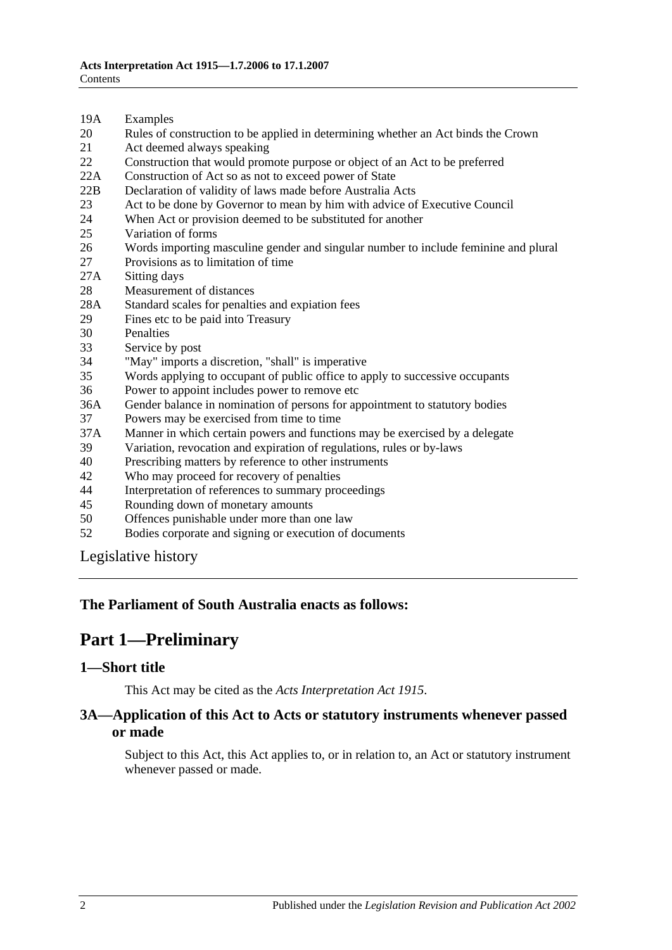- 19A [Examples](#page-12-0)
- 20 [Rules of construction to be applied in determining whether an Act binds the Crown](#page-12-1)
- 21 [Act deemed always speaking](#page-12-2)
- 22 [Construction that would promote purpose or object of an Act to be preferred](#page-13-0)
- 22A [Construction of Act so as not to exceed power of State](#page-13-1)
- 22B [Declaration of validity of laws made before Australia Acts](#page-13-2)
- 23 [Act to be done by Governor to mean by him with advice of Executive Council](#page-13-3)
- 24 [When Act or provision deemed to be substituted for another](#page-13-4)<br>25 Variation of forms
- [Variation of forms](#page-13-5)
- 26 [Words importing masculine gender and singular number to include feminine and plural](#page-14-0)
- 27 [Provisions as to limitation of time](#page-14-1)
- 27A [Sitting days](#page-14-2)
- 28 [Measurement of distances](#page-14-3)
- 28A [Standard scales for penalties and expiation fees](#page-15-0)
- 29 [Fines etc to be paid into Treasury](#page-15-1)
- 
- 30 [Penalties](#page-16-0)<br>33 Service b [Service by post](#page-16-1)
- 34 ["May" imports a discretion, "shall" is imperative](#page-16-2)
- 35 [Words applying to occupant of public office to apply to successive occupants](#page-16-3)
- 36 [Power to appoint includes power to remove etc](#page-16-4)
- 36A [Gender balance in nomination of persons for appointment to statutory bodies](#page-17-0)
- 37 [Powers may be exercised from time to time](#page-17-1)
- 37A [Manner in which certain powers and functions may be exercised by a delegate](#page-18-0)
- 39 [Variation, revocation and expiration of regulations, rules or by-laws](#page-18-1)
- 40 [Prescribing matters by reference to other instruments](#page-18-2)
- 42 [Who may proceed for recovery of penalties](#page-18-3)
- 44 [Interpretation of references to summary proceedings](#page-18-4)
- 45 [Rounding down of monetary amounts](#page-19-0)
- 50 [Offences punishable under more than one law](#page-19-1)
- 52 [Bodies corporate and signing or execution of documents](#page-19-2)

[Legislative history](#page-20-0)

#### <span id="page-1-0"></span>**The Parliament of South Australia enacts as follows:**

## **Part 1—Preliminary**

#### <span id="page-1-1"></span>**1—Short title**

This Act may be cited as the *Acts Interpretation Act 1915*.

#### <span id="page-1-2"></span>**3A—Application of this Act to Acts or statutory instruments whenever passed or made**

Subject to this Act, this Act applies to, or in relation to, an Act or statutory instrument whenever passed or made.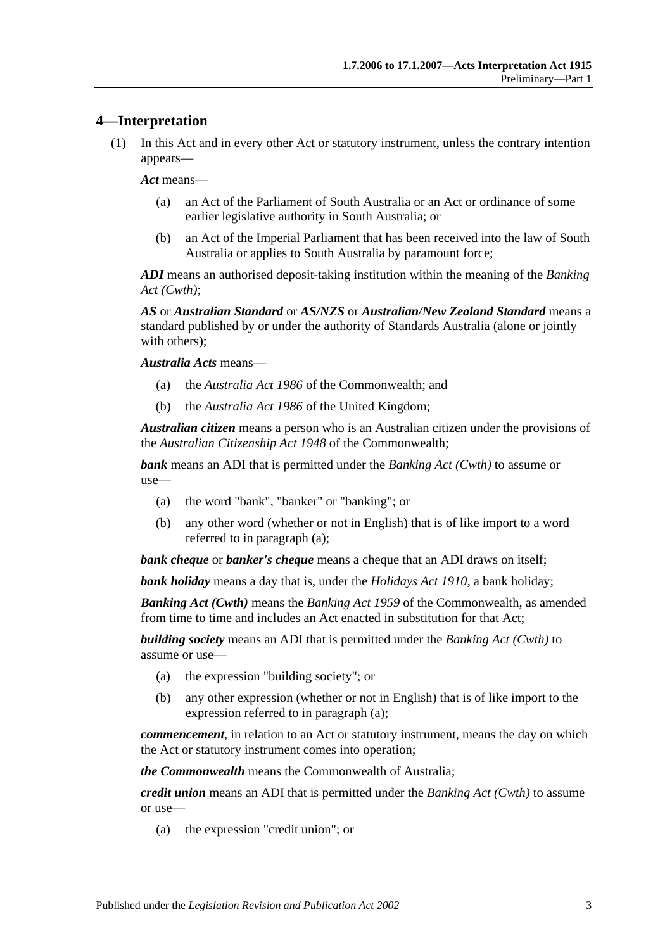#### <span id="page-2-0"></span>**4—Interpretation**

(1) In this Act and in every other Act or statutory instrument, unless the contrary intention appears—

*Act* means—

- (a) an Act of the Parliament of South Australia or an Act or ordinance of some earlier legislative authority in South Australia; or
- (b) an Act of the Imperial Parliament that has been received into the law of South Australia or applies to South Australia by paramount force;

*ADI* means an authorised deposit-taking institution within the meaning of the *Banking Act (Cwth)*;

*AS* or *Australian Standard* or *AS/NZS* or *Australian/New Zealand Standard* means a standard published by or under the authority of Standards Australia (alone or jointly with others):

*Australia Acts* means—

- (a) the *Australia Act 1986* of the Commonwealth; and
- (b) the *Australia Act 1986* of the United Kingdom;

*Australian citizen* means a person who is an Australian citizen under the provisions of the *Australian Citizenship Act 1948* of the Commonwealth;

<span id="page-2-1"></span>*bank* means an ADI that is permitted under the *Banking Act (Cwth)* to assume or use—

- (a) the word "bank", "banker" or "banking"; or
- (b) any other word (whether or not in English) that is of like import to a word referred to in [paragraph](#page-2-1) (a);

*bank cheque* or *banker's cheque* means a cheque that an ADI draws on itself;

*bank holiday* means a day that is, under the *[Holidays Act](http://www.legislation.sa.gov.au/index.aspx?action=legref&type=act&legtitle=Holidays%20Act%201910) 1910*, a bank holiday;

*Banking Act (Cwth)* means the *Banking Act 1959* of the Commonwealth, as amended from time to time and includes an Act enacted in substitution for that Act;

<span id="page-2-2"></span>*building society* means an ADI that is permitted under the *Banking Act (Cwth)* to assume or use—

- (a) the expression "building society"; or
- (b) any other expression (whether or not in English) that is of like import to the expression referred to in [paragraph](#page-2-2) (a);

*commencement*, in relation to an Act or statutory instrument, means the day on which the Act or statutory instrument comes into operation;

*the Commonwealth* means the Commonwealth of Australia;

<span id="page-2-3"></span>*credit union* means an ADI that is permitted under the *Banking Act (Cwth)* to assume or use—

(a) the expression "credit union"; or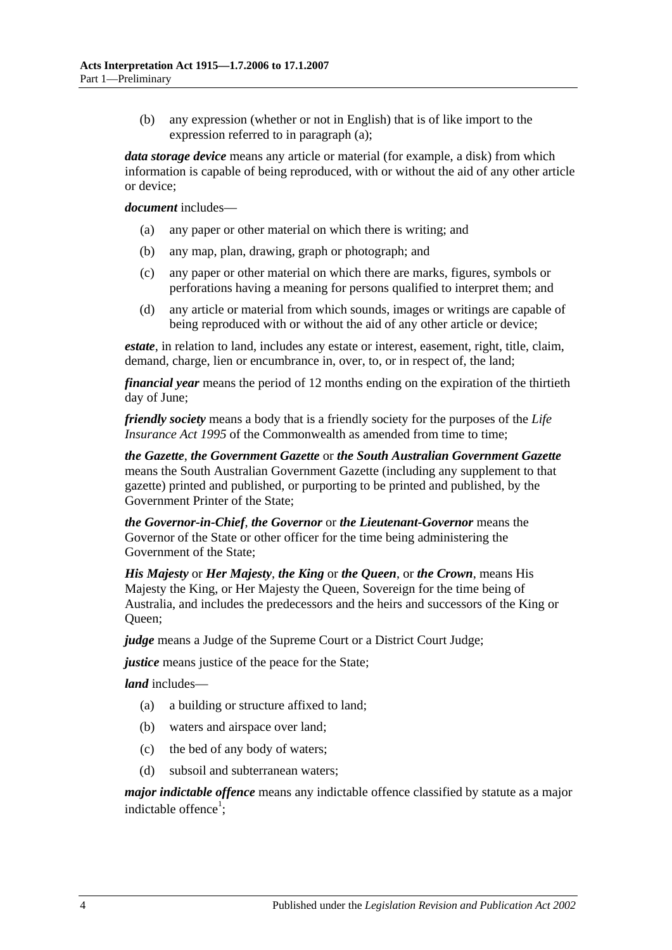(b) any expression (whether or not in English) that is of like import to the expression referred to in [paragraph](#page-2-3) (a);

*data storage device* means any article or material (for example, a disk) from which information is capable of being reproduced, with or without the aid of any other article or device;

#### *document* includes—

- (a) any paper or other material on which there is writing; and
- (b) any map, plan, drawing, graph or photograph; and
- (c) any paper or other material on which there are marks, figures, symbols or perforations having a meaning for persons qualified to interpret them; and
- (d) any article or material from which sounds, images or writings are capable of being reproduced with or without the aid of any other article or device;

*estate*, in relation to land, includes any estate or interest, easement, right, title, claim, demand, charge, lien or encumbrance in, over, to, or in respect of, the land;

*financial year* means the period of 12 months ending on the expiration of the thirtieth day of June;

*friendly society* means a body that is a friendly society for the purposes of the *Life Insurance Act 1995* of the Commonwealth as amended from time to time:

*the Gazette*, *the Government Gazette* or *the South Australian Government Gazette* means the South Australian Government Gazette (including any supplement to that gazette) printed and published, or purporting to be printed and published, by the Government Printer of the State;

*the Governor-in-Chief*, *the Governor* or *the Lieutenant-Governor* means the Governor of the State or other officer for the time being administering the Government of the State;

*His Majesty* or *Her Majesty*, *the King* or *the Queen*, or *the Crown*, means His Majesty the King, or Her Majesty the Queen, Sovereign for the time being of Australia, and includes the predecessors and the heirs and successors of the King or Oueen:

*judge* means a Judge of the Supreme Court or a District Court Judge;

*justice* means justice of the peace for the State;

*land* includes—

- (a) a building or structure affixed to land;
- (b) waters and airspace over land;
- (c) the bed of any body of waters;
- (d) subsoil and subterranean waters;

*major indictable offence* means any indictable offence classified by statute as a major indictable offence<sup>1</sup>;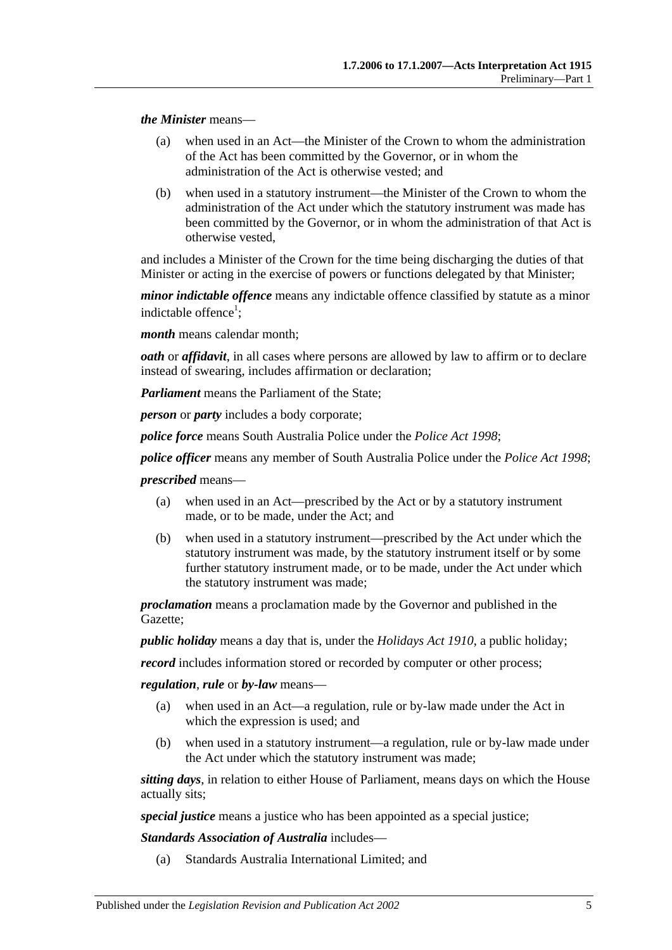*the Minister* means—

- (a) when used in an Act—the Minister of the Crown to whom the administration of the Act has been committed by the Governor, or in whom the administration of the Act is otherwise vested; and
- (b) when used in a statutory instrument—the Minister of the Crown to whom the administration of the Act under which the statutory instrument was made has been committed by the Governor, or in whom the administration of that Act is otherwise vested,

and includes a Minister of the Crown for the time being discharging the duties of that Minister or acting in the exercise of powers or functions delegated by that Minister;

*minor indictable offence* means any indictable offence classified by statute as a minor indictable offence<sup>1</sup>;

*month* means calendar month;

*oath* or *affidavit*, in all cases where persons are allowed by law to affirm or to declare instead of swearing, includes affirmation or declaration;

*Parliament* means the Parliament of the State;

*person* or *party* includes a body corporate;

*police force* means South Australia Police under the *[Police Act](http://www.legislation.sa.gov.au/index.aspx?action=legref&type=act&legtitle=Police%20Act%201998) 1998*;

*police officer* means any member of South Australia Police under the *[Police Act](http://www.legislation.sa.gov.au/index.aspx?action=legref&type=act&legtitle=Police%20Act%201998) 1998*;

*prescribed* means—

- (a) when used in an Act—prescribed by the Act or by a statutory instrument made, or to be made, under the Act; and
- (b) when used in a statutory instrument—prescribed by the Act under which the statutory instrument was made, by the statutory instrument itself or by some further statutory instrument made, or to be made, under the Act under which the statutory instrument was made;

*proclamation* means a proclamation made by the Governor and published in the Gazette;

*public holiday* means a day that is, under the *[Holidays Act](http://www.legislation.sa.gov.au/index.aspx?action=legref&type=act&legtitle=Holidays%20Act%201910) 1910*, a public holiday;

*record* includes information stored or recorded by computer or other process;

*regulation*, *rule* or *by-law* means—

- (a) when used in an Act—a regulation, rule or by-law made under the Act in which the expression is used; and
- (b) when used in a statutory instrument—a regulation, rule or by-law made under the Act under which the statutory instrument was made;

*sitting days*, in relation to either House of Parliament, means days on which the House actually sits;

*special justice* means a justice who has been appointed as a special justice;

*Standards Association of Australia* includes—

(a) Standards Australia International Limited; and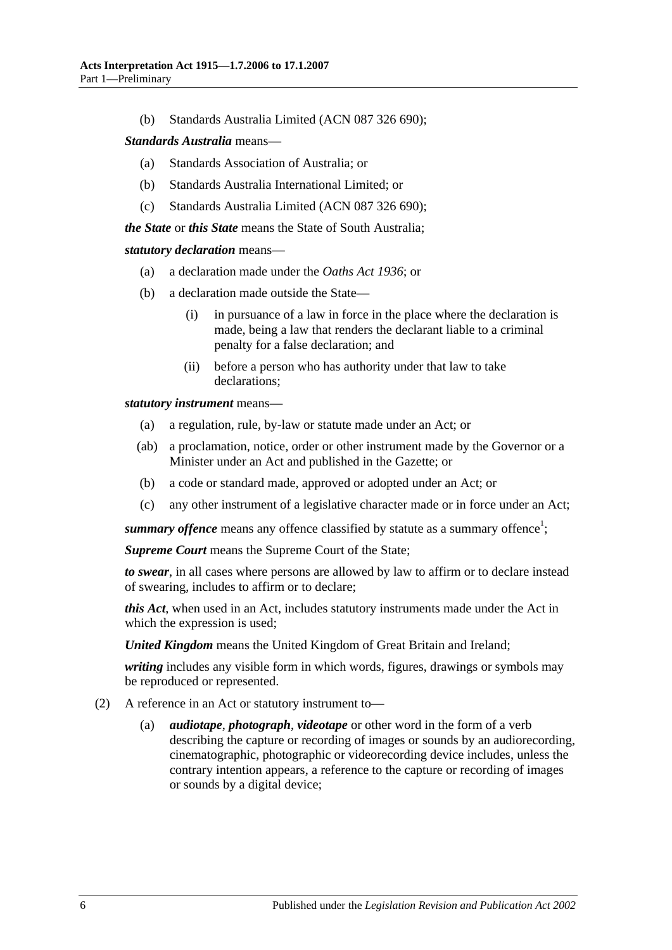(b) Standards Australia Limited (ACN 087 326 690);

#### *Standards Australia* means—

- (a) Standards Association of Australia; or
- (b) Standards Australia International Limited; or
- (c) Standards Australia Limited (ACN 087 326 690);

*the State* or *this State* means the State of South Australia;

#### *statutory declaration* means—

- (a) a declaration made under the *[Oaths Act](http://www.legislation.sa.gov.au/index.aspx?action=legref&type=act&legtitle=Oaths%20Act%201936) 1936*; or
- (b) a declaration made outside the State—
	- (i) in pursuance of a law in force in the place where the declaration is made, being a law that renders the declarant liable to a criminal penalty for a false declaration; and
	- (ii) before a person who has authority under that law to take declarations;

*statutory instrument* means—

- (a) a regulation, rule, by-law or statute made under an Act; or
- (ab) a proclamation, notice, order or other instrument made by the Governor or a Minister under an Act and published in the Gazette; or
- (b) a code or standard made, approved or adopted under an Act; or
- (c) any other instrument of a legislative character made or in force under an Act;

summary offence means any offence classified by statute as a summary offence<sup>1</sup>;

*Supreme Court* means the Supreme Court of the State;

*to swear*, in all cases where persons are allowed by law to affirm or to declare instead of swearing, includes to affirm or to declare;

*this Act*, when used in an Act, includes statutory instruments made under the Act in which the expression is used;

*United Kingdom* means the United Kingdom of Great Britain and Ireland;

*writing* includes any visible form in which words, figures, drawings or symbols may be reproduced or represented.

- (2) A reference in an Act or statutory instrument to
	- *audiotape, photograph, videotape* or other word in the form of a verb describing the capture or recording of images or sounds by an audiorecording, cinematographic, photographic or videorecording device includes, unless the contrary intention appears, a reference to the capture or recording of images or sounds by a digital device;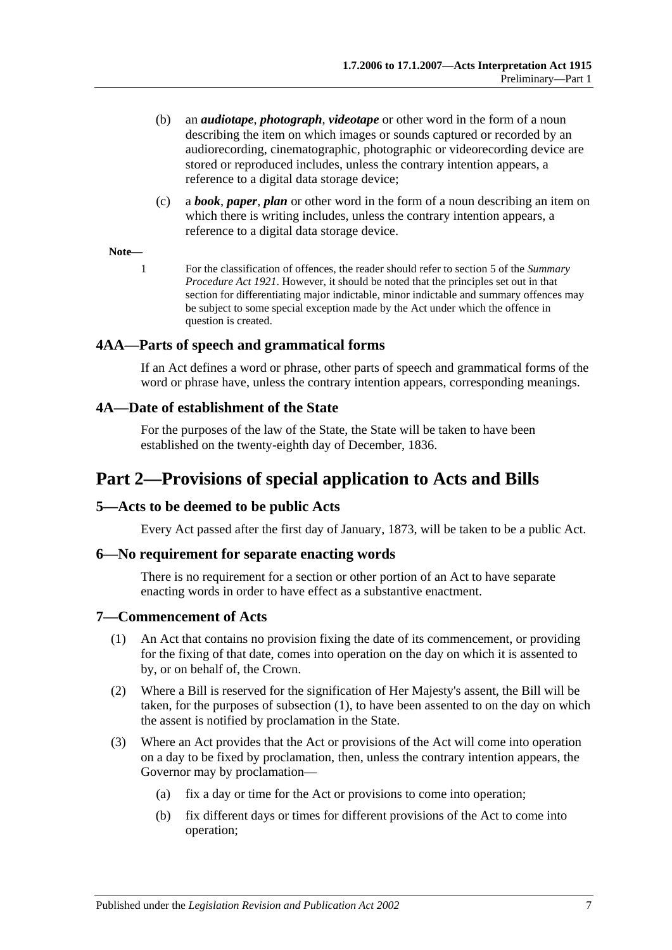- (b) an *audiotape*, *photograph*, *videotape* or other word in the form of a noun describing the item on which images or sounds captured or recorded by an audiorecording, cinematographic, photographic or videorecording device are stored or reproduced includes, unless the contrary intention appears, a reference to a digital data storage device;
- (c) a *book*, *paper*, *plan* or other word in the form of a noun describing an item on which there is writing includes, unless the contrary intention appears, a reference to a digital data storage device.

#### **Note—**

1 For the classification of offences, the reader should refer to section 5 of the *[Summary](http://www.legislation.sa.gov.au/index.aspx?action=legref&type=act&legtitle=Summary%20Procedure%20Act%201921)  [Procedure Act](http://www.legislation.sa.gov.au/index.aspx?action=legref&type=act&legtitle=Summary%20Procedure%20Act%201921) 1921*. However, it should be noted that the principles set out in that section for differentiating major indictable, minor indictable and summary offences may be subject to some special exception made by the Act under which the offence in question is created.

#### <span id="page-6-0"></span>**4AA—Parts of speech and grammatical forms**

If an Act defines a word or phrase, other parts of speech and grammatical forms of the word or phrase have, unless the contrary intention appears, corresponding meanings.

#### <span id="page-6-1"></span>**4A—Date of establishment of the State**

For the purposes of the law of the State, the State will be taken to have been established on the twenty-eighth day of December, 1836.

## <span id="page-6-2"></span>**Part 2—Provisions of special application to Acts and Bills**

#### <span id="page-6-3"></span>**5—Acts to be deemed to be public Acts**

Every Act passed after the first day of January, 1873, will be taken to be a public Act.

#### <span id="page-6-4"></span>**6—No requirement for separate enacting words**

There is no requirement for a section or other portion of an Act to have separate enacting words in order to have effect as a substantive enactment.

#### <span id="page-6-6"></span><span id="page-6-5"></span>**7—Commencement of Acts**

- (1) An Act that contains no provision fixing the date of its commencement, or providing for the fixing of that date, comes into operation on the day on which it is assented to by, or on behalf of, the Crown.
- (2) Where a Bill is reserved for the signification of Her Majesty's assent, the Bill will be taken, for the purposes of [subsection](#page-6-6) (1), to have been assented to on the day on which the assent is notified by proclamation in the State.
- <span id="page-6-7"></span>(3) Where an Act provides that the Act or provisions of the Act will come into operation on a day to be fixed by proclamation, then, unless the contrary intention appears, the Governor may by proclamation—
	- (a) fix a day or time for the Act or provisions to come into operation;
	- (b) fix different days or times for different provisions of the Act to come into operation;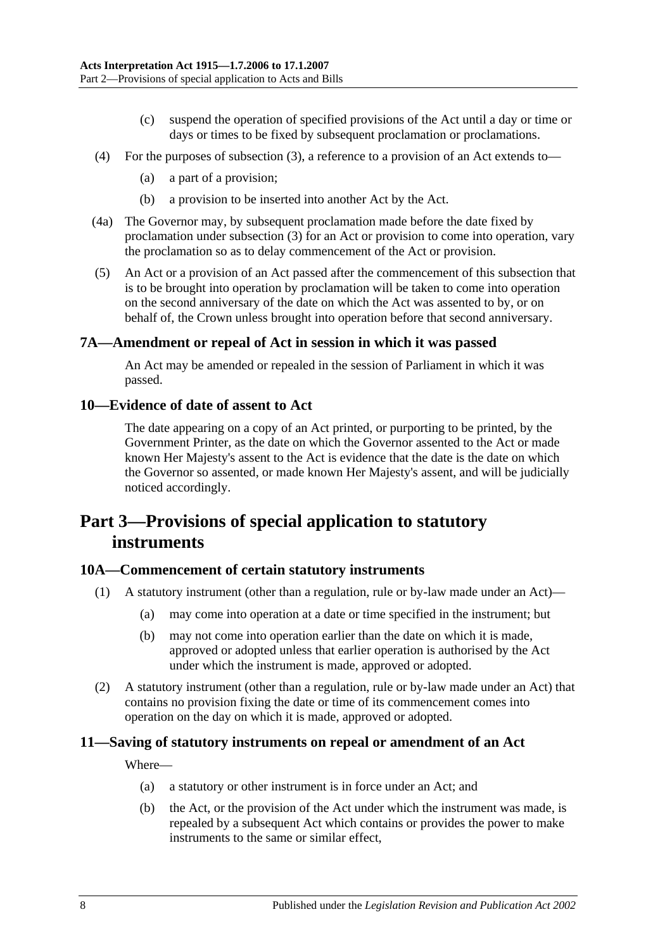- (c) suspend the operation of specified provisions of the Act until a day or time or days or times to be fixed by subsequent proclamation or proclamations.
- (4) For the purposes of [subsection](#page-6-7) (3), a reference to a provision of an Act extends to—
	- (a) a part of a provision;
	- (b) a provision to be inserted into another Act by the Act.
- (4a) The Governor may, by subsequent proclamation made before the date fixed by proclamation under [subsection](#page-6-7) (3) for an Act or provision to come into operation, vary the proclamation so as to delay commencement of the Act or provision.
- (5) An Act or a provision of an Act passed after the commencement of this subsection that is to be brought into operation by proclamation will be taken to come into operation on the second anniversary of the date on which the Act was assented to by, or on behalf of, the Crown unless brought into operation before that second anniversary.

#### <span id="page-7-0"></span>**7A—Amendment or repeal of Act in session in which it was passed**

An Act may be amended or repealed in the session of Parliament in which it was passed.

#### <span id="page-7-1"></span>**10—Evidence of date of assent to Act**

The date appearing on a copy of an Act printed, or purporting to be printed, by the Government Printer, as the date on which the Governor assented to the Act or made known Her Majesty's assent to the Act is evidence that the date is the date on which the Governor so assented, or made known Her Majesty's assent, and will be judicially noticed accordingly.

## <span id="page-7-2"></span>**Part 3—Provisions of special application to statutory instruments**

#### <span id="page-7-3"></span>**10A—Commencement of certain statutory instruments**

- (1) A statutory instrument (other than a regulation, rule or by-law made under an Act)—
	- (a) may come into operation at a date or time specified in the instrument; but
	- (b) may not come into operation earlier than the date on which it is made, approved or adopted unless that earlier operation is authorised by the Act under which the instrument is made, approved or adopted.
- (2) A statutory instrument (other than a regulation, rule or by-law made under an Act) that contains no provision fixing the date or time of its commencement comes into operation on the day on which it is made, approved or adopted.

#### <span id="page-7-4"></span>**11—Saving of statutory instruments on repeal or amendment of an Act**

Where—

- (a) a statutory or other instrument is in force under an Act; and
- (b) the Act, or the provision of the Act under which the instrument was made, is repealed by a subsequent Act which contains or provides the power to make instruments to the same or similar effect,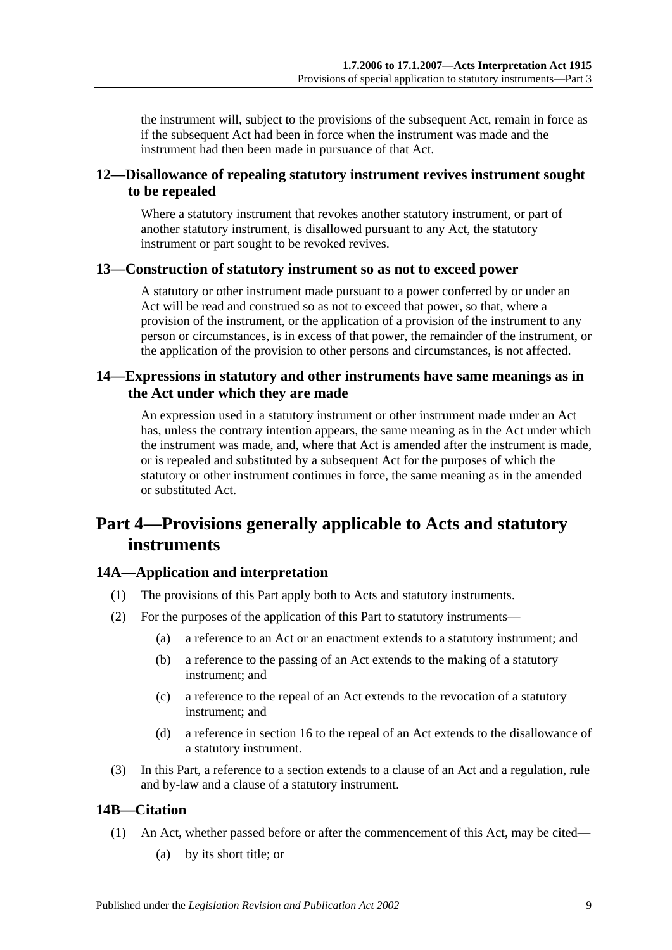the instrument will, subject to the provisions of the subsequent Act, remain in force as if the subsequent Act had been in force when the instrument was made and the instrument had then been made in pursuance of that Act.

## <span id="page-8-0"></span>**12—Disallowance of repealing statutory instrument revives instrument sought to be repealed**

Where a statutory instrument that revokes another statutory instrument, or part of another statutory instrument, is disallowed pursuant to any Act, the statutory instrument or part sought to be revoked revives.

## <span id="page-8-1"></span>**13—Construction of statutory instrument so as not to exceed power**

A statutory or other instrument made pursuant to a power conferred by or under an Act will be read and construed so as not to exceed that power, so that, where a provision of the instrument, or the application of a provision of the instrument to any person or circumstances, is in excess of that power, the remainder of the instrument, or the application of the provision to other persons and circumstances, is not affected.

## <span id="page-8-2"></span>**14—Expressions in statutory and other instruments have same meanings as in the Act under which they are made**

An expression used in a statutory instrument or other instrument made under an Act has, unless the contrary intention appears, the same meaning as in the Act under which the instrument was made, and, where that Act is amended after the instrument is made, or is repealed and substituted by a subsequent Act for the purposes of which the statutory or other instrument continues in force, the same meaning as in the amended or substituted Act.

## <span id="page-8-3"></span>**Part 4—Provisions generally applicable to Acts and statutory instruments**

## <span id="page-8-4"></span>**14A—Application and interpretation**

- (1) The provisions of this Part apply both to Acts and statutory instruments.
- (2) For the purposes of the application of this Part to statutory instruments—
	- (a) a reference to an Act or an enactment extends to a statutory instrument; and
	- (b) a reference to the passing of an Act extends to the making of a statutory instrument; and
	- (c) a reference to the repeal of an Act extends to the revocation of a statutory instrument; and
	- (d) a reference in [section](#page-10-2) 16 to the repeal of an Act extends to the disallowance of a statutory instrument.
- (3) In this Part, a reference to a section extends to a clause of an Act and a regulation, rule and by-law and a clause of a statutory instrument.

## <span id="page-8-5"></span>**14B—Citation**

- (1) An Act, whether passed before or after the commencement of this Act, may be cited—
	- (a) by its short title; or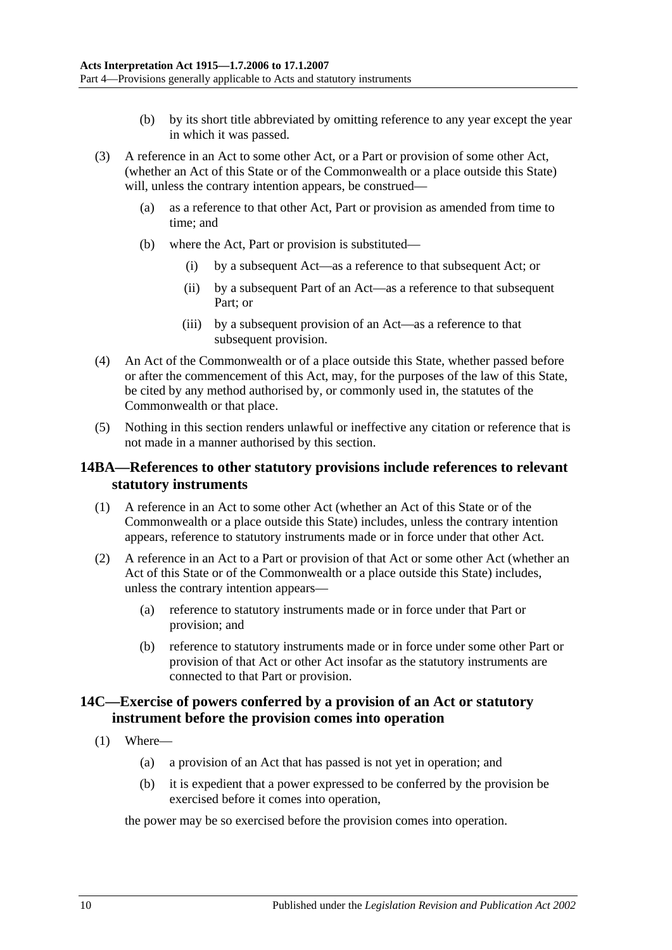- (b) by its short title abbreviated by omitting reference to any year except the year in which it was passed.
- (3) A reference in an Act to some other Act, or a Part or provision of some other Act, (whether an Act of this State or of the Commonwealth or a place outside this State) will, unless the contrary intention appears, be construed—
	- (a) as a reference to that other Act, Part or provision as amended from time to time; and
	- (b) where the Act, Part or provision is substituted—
		- (i) by a subsequent Act—as a reference to that subsequent Act; or
		- (ii) by a subsequent Part of an Act—as a reference to that subsequent Part; or
		- (iii) by a subsequent provision of an Act—as a reference to that subsequent provision.
- (4) An Act of the Commonwealth or of a place outside this State, whether passed before or after the commencement of this Act, may, for the purposes of the law of this State, be cited by any method authorised by, or commonly used in, the statutes of the Commonwealth or that place.
- (5) Nothing in this section renders unlawful or ineffective any citation or reference that is not made in a manner authorised by this section.

#### <span id="page-9-0"></span>**14BA—References to other statutory provisions include references to relevant statutory instruments**

- (1) A reference in an Act to some other Act (whether an Act of this State or of the Commonwealth or a place outside this State) includes, unless the contrary intention appears, reference to statutory instruments made or in force under that other Act.
- (2) A reference in an Act to a Part or provision of that Act or some other Act (whether an Act of this State or of the Commonwealth or a place outside this State) includes, unless the contrary intention appears—
	- (a) reference to statutory instruments made or in force under that Part or provision; and
	- (b) reference to statutory instruments made or in force under some other Part or provision of that Act or other Act insofar as the statutory instruments are connected to that Part or provision.

### <span id="page-9-1"></span>**14C—Exercise of powers conferred by a provision of an Act or statutory instrument before the provision comes into operation**

- <span id="page-9-2"></span>(1) Where—
	- (a) a provision of an Act that has passed is not yet in operation; and
	- (b) it is expedient that a power expressed to be conferred by the provision be exercised before it comes into operation,

the power may be so exercised before the provision comes into operation.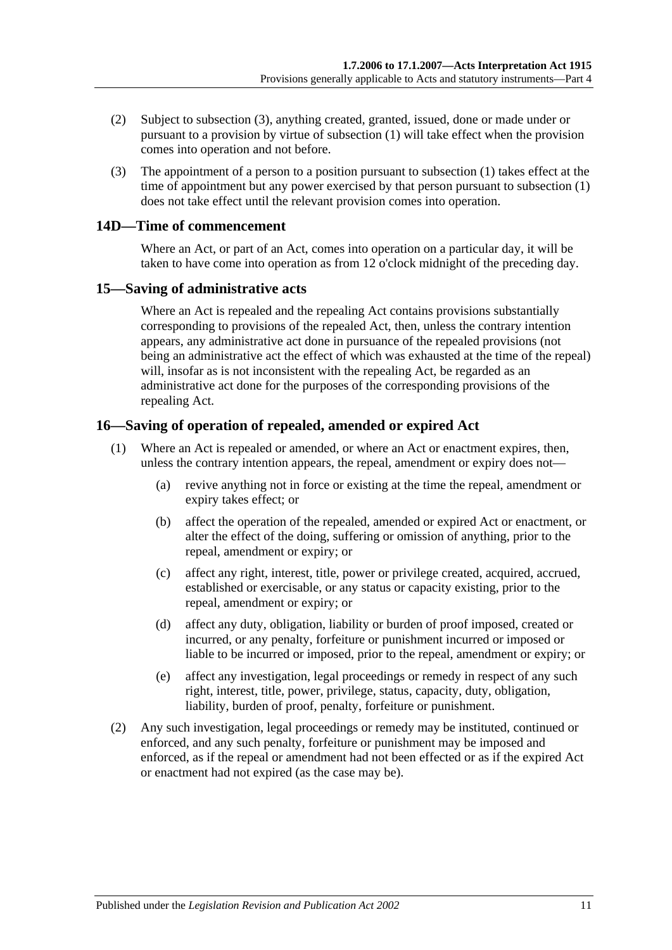- (2) Subject to [subsection](#page-10-3) (3), anything created, granted, issued, done or made under or pursuant to a provision by virtue of [subsection](#page-9-2) (1) will take effect when the provision comes into operation and not before.
- <span id="page-10-3"></span>(3) The appointment of a person to a position pursuant to [subsection](#page-9-2) (1) takes effect at the time of appointment but any power exercised by that person pursuant to [subsection](#page-9-2) (1) does not take effect until the relevant provision comes into operation.

#### <span id="page-10-0"></span>**14D—Time of commencement**

Where an Act, or part of an Act, comes into operation on a particular day, it will be taken to have come into operation as from 12 o'clock midnight of the preceding day.

#### <span id="page-10-1"></span>**15—Saving of administrative acts**

Where an Act is repealed and the repealing Act contains provisions substantially corresponding to provisions of the repealed Act, then, unless the contrary intention appears, any administrative act done in pursuance of the repealed provisions (not being an administrative act the effect of which was exhausted at the time of the repeal) will, insofar as is not inconsistent with the repealing Act, be regarded as an administrative act done for the purposes of the corresponding provisions of the repealing Act.

## <span id="page-10-2"></span>**16—Saving of operation of repealed, amended or expired Act**

- (1) Where an Act is repealed or amended, or where an Act or enactment expires, then, unless the contrary intention appears, the repeal, amendment or expiry does not—
	- (a) revive anything not in force or existing at the time the repeal, amendment or expiry takes effect; or
	- (b) affect the operation of the repealed, amended or expired Act or enactment, or alter the effect of the doing, suffering or omission of anything, prior to the repeal, amendment or expiry; or
	- (c) affect any right, interest, title, power or privilege created, acquired, accrued, established or exercisable, or any status or capacity existing, prior to the repeal, amendment or expiry; or
	- (d) affect any duty, obligation, liability or burden of proof imposed, created or incurred, or any penalty, forfeiture or punishment incurred or imposed or liable to be incurred or imposed, prior to the repeal, amendment or expiry; or
	- (e) affect any investigation, legal proceedings or remedy in respect of any such right, interest, title, power, privilege, status, capacity, duty, obligation, liability, burden of proof, penalty, forfeiture or punishment.
- (2) Any such investigation, legal proceedings or remedy may be instituted, continued or enforced, and any such penalty, forfeiture or punishment may be imposed and enforced, as if the repeal or amendment had not been effected or as if the expired Act or enactment had not expired (as the case may be).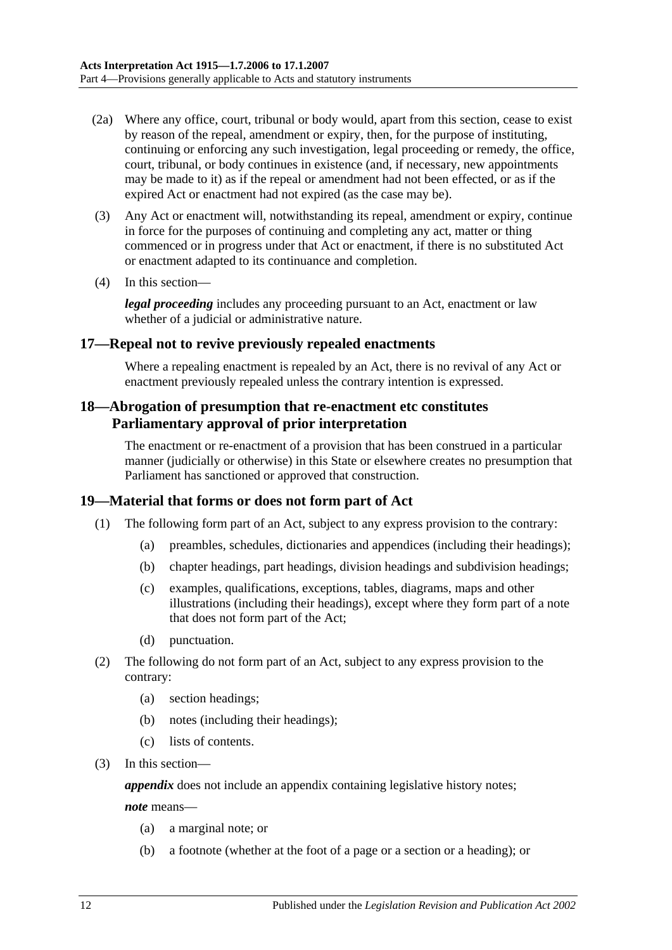- (2a) Where any office, court, tribunal or body would, apart from this section, cease to exist by reason of the repeal, amendment or expiry, then, for the purpose of instituting, continuing or enforcing any such investigation, legal proceeding or remedy, the office, court, tribunal, or body continues in existence (and, if necessary, new appointments may be made to it) as if the repeal or amendment had not been effected, or as if the expired Act or enactment had not expired (as the case may be).
- (3) Any Act or enactment will, notwithstanding its repeal, amendment or expiry, continue in force for the purposes of continuing and completing any act, matter or thing commenced or in progress under that Act or enactment, if there is no substituted Act or enactment adapted to its continuance and completion.
- (4) In this section—

*legal proceeding* includes any proceeding pursuant to an Act, enactment or law whether of a judicial or administrative nature.

#### <span id="page-11-0"></span>**17—Repeal not to revive previously repealed enactments**

Where a repealing enactment is repealed by an Act, there is no revival of any Act or enactment previously repealed unless the contrary intention is expressed.

## <span id="page-11-1"></span>**18—Abrogation of presumption that re-enactment etc constitutes Parliamentary approval of prior interpretation**

The enactment or re-enactment of a provision that has been construed in a particular manner (judicially or otherwise) in this State or elsewhere creates no presumption that Parliament has sanctioned or approved that construction.

#### <span id="page-11-2"></span>**19—Material that forms or does not form part of Act**

- (1) The following form part of an Act, subject to any express provision to the contrary:
	- (a) preambles, schedules, dictionaries and appendices (including their headings);
	- (b) chapter headings, part headings, division headings and subdivision headings;
	- (c) examples, qualifications, exceptions, tables, diagrams, maps and other illustrations (including their headings), except where they form part of a note that does not form part of the Act;
	- (d) punctuation.
- (2) The following do not form part of an Act, subject to any express provision to the contrary:
	- (a) section headings;
	- (b) notes (including their headings);
	- (c) lists of contents.
- (3) In this section—

*appendix* does not include an appendix containing legislative history notes;

*note* means—

- (a) a marginal note; or
- (b) a footnote (whether at the foot of a page or a section or a heading); or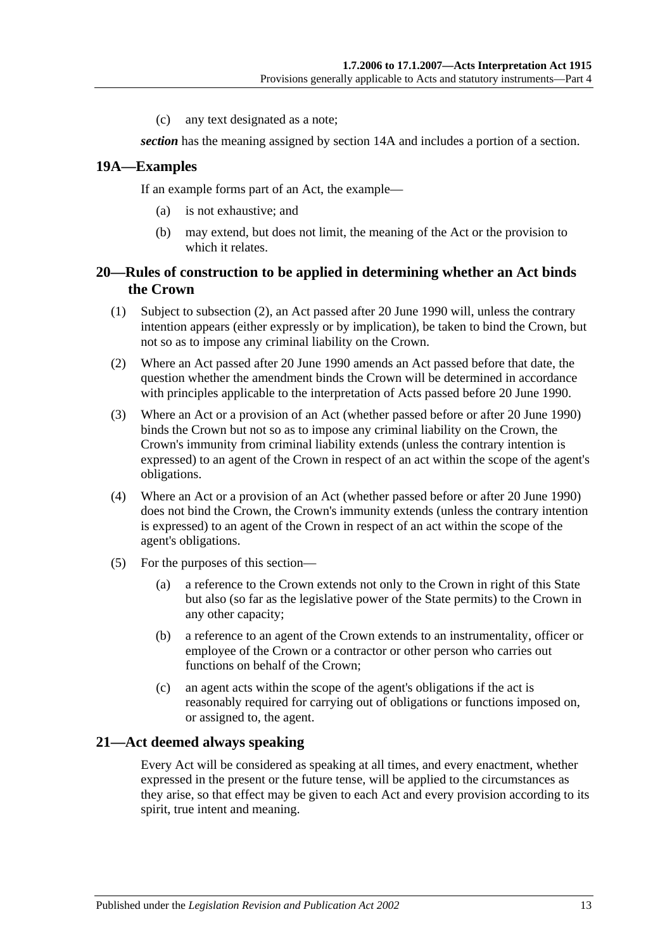(c) any text designated as a note;

*section* has the meaning assigned by [section](#page-8-4) 14A and includes a portion of a section.

#### <span id="page-12-0"></span>**19A—Examples**

If an example forms part of an Act, the example—

- (a) is not exhaustive; and
- (b) may extend, but does not limit, the meaning of the Act or the provision to which it relates.

#### <span id="page-12-1"></span>**20—Rules of construction to be applied in determining whether an Act binds the Crown**

- (1) Subject to [subsection](#page-12-3) (2), an Act passed after 20 June 1990 will, unless the contrary intention appears (either expressly or by implication), be taken to bind the Crown, but not so as to impose any criminal liability on the Crown.
- <span id="page-12-3"></span>(2) Where an Act passed after 20 June 1990 amends an Act passed before that date, the question whether the amendment binds the Crown will be determined in accordance with principles applicable to the interpretation of Acts passed before 20 June 1990.
- (3) Where an Act or a provision of an Act (whether passed before or after 20 June 1990) binds the Crown but not so as to impose any criminal liability on the Crown, the Crown's immunity from criminal liability extends (unless the contrary intention is expressed) to an agent of the Crown in respect of an act within the scope of the agent's obligations.
- (4) Where an Act or a provision of an Act (whether passed before or after 20 June 1990) does not bind the Crown, the Crown's immunity extends (unless the contrary intention is expressed) to an agent of the Crown in respect of an act within the scope of the agent's obligations.
- (5) For the purposes of this section—
	- (a) a reference to the Crown extends not only to the Crown in right of this State but also (so far as the legislative power of the State permits) to the Crown in any other capacity;
	- (b) a reference to an agent of the Crown extends to an instrumentality, officer or employee of the Crown or a contractor or other person who carries out functions on behalf of the Crown;
	- (c) an agent acts within the scope of the agent's obligations if the act is reasonably required for carrying out of obligations or functions imposed on, or assigned to, the agent.

#### <span id="page-12-2"></span>**21—Act deemed always speaking**

Every Act will be considered as speaking at all times, and every enactment, whether expressed in the present or the future tense, will be applied to the circumstances as they arise, so that effect may be given to each Act and every provision according to its spirit, true intent and meaning.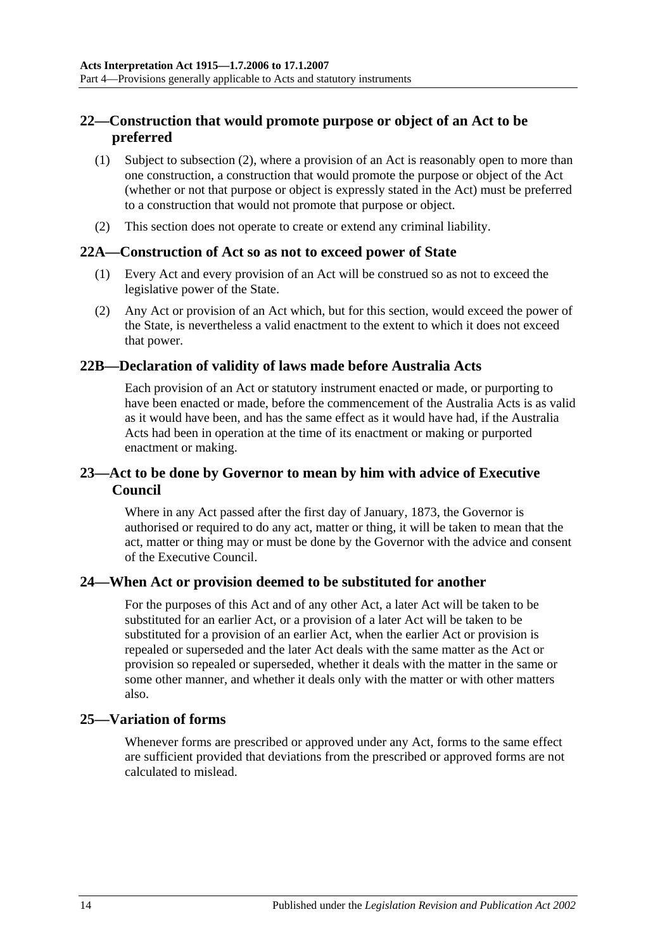## <span id="page-13-0"></span>**22—Construction that would promote purpose or object of an Act to be preferred**

- (1) Subject to [subsection](#page-13-6) (2), where a provision of an Act is reasonably open to more than one construction, a construction that would promote the purpose or object of the Act (whether or not that purpose or object is expressly stated in the Act) must be preferred to a construction that would not promote that purpose or object.
- <span id="page-13-6"></span>(2) This section does not operate to create or extend any criminal liability.

#### <span id="page-13-1"></span>**22A—Construction of Act so as not to exceed power of State**

- (1) Every Act and every provision of an Act will be construed so as not to exceed the legislative power of the State.
- (2) Any Act or provision of an Act which, but for this section, would exceed the power of the State, is nevertheless a valid enactment to the extent to which it does not exceed that power.

#### <span id="page-13-2"></span>**22B—Declaration of validity of laws made before Australia Acts**

Each provision of an Act or statutory instrument enacted or made, or purporting to have been enacted or made, before the commencement of the Australia Acts is as valid as it would have been, and has the same effect as it would have had, if the Australia Acts had been in operation at the time of its enactment or making or purported enactment or making.

#### <span id="page-13-3"></span>**23—Act to be done by Governor to mean by him with advice of Executive Council**

Where in any Act passed after the first day of January, 1873, the Governor is authorised or required to do any act, matter or thing, it will be taken to mean that the act, matter or thing may or must be done by the Governor with the advice and consent of the Executive Council.

#### <span id="page-13-4"></span>**24—When Act or provision deemed to be substituted for another**

For the purposes of this Act and of any other Act, a later Act will be taken to be substituted for an earlier Act, or a provision of a later Act will be taken to be substituted for a provision of an earlier Act, when the earlier Act or provision is repealed or superseded and the later Act deals with the same matter as the Act or provision so repealed or superseded, whether it deals with the matter in the same or some other manner, and whether it deals only with the matter or with other matters also.

#### <span id="page-13-5"></span>**25—Variation of forms**

Whenever forms are prescribed or approved under any Act, forms to the same effect are sufficient provided that deviations from the prescribed or approved forms are not calculated to mislead.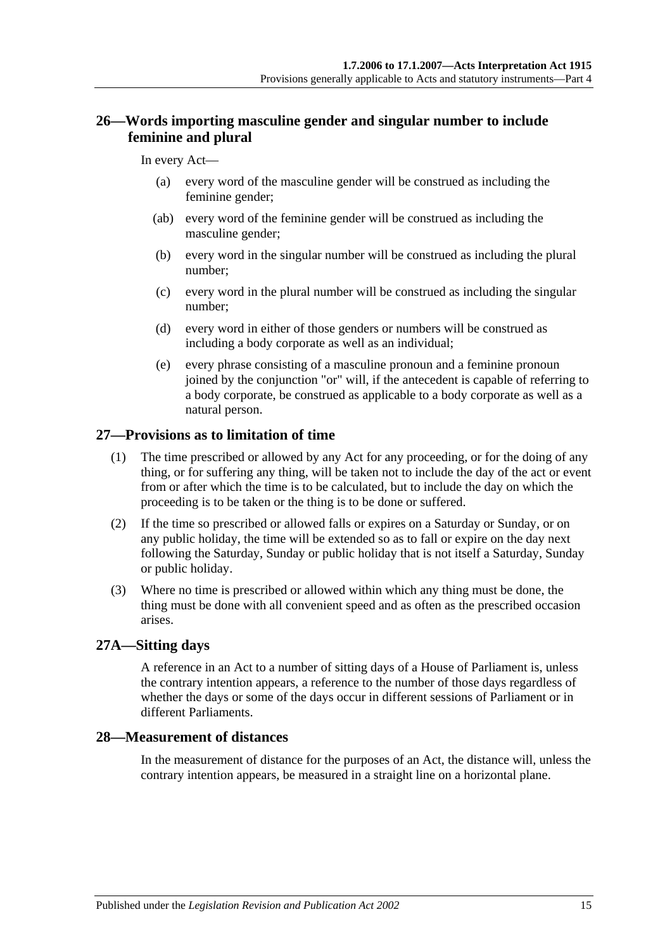## <span id="page-14-0"></span>**26—Words importing masculine gender and singular number to include feminine and plural**

#### In every Act—

- (a) every word of the masculine gender will be construed as including the feminine gender;
- (ab) every word of the feminine gender will be construed as including the masculine gender;
- (b) every word in the singular number will be construed as including the plural number;
- (c) every word in the plural number will be construed as including the singular number;
- (d) every word in either of those genders or numbers will be construed as including a body corporate as well as an individual;
- (e) every phrase consisting of a masculine pronoun and a feminine pronoun joined by the conjunction "or" will, if the antecedent is capable of referring to a body corporate, be construed as applicable to a body corporate as well as a natural person.

#### <span id="page-14-1"></span>**27—Provisions as to limitation of time**

- (1) The time prescribed or allowed by any Act for any proceeding, or for the doing of any thing, or for suffering any thing, will be taken not to include the day of the act or event from or after which the time is to be calculated, but to include the day on which the proceeding is to be taken or the thing is to be done or suffered.
- (2) If the time so prescribed or allowed falls or expires on a Saturday or Sunday, or on any public holiday, the time will be extended so as to fall or expire on the day next following the Saturday, Sunday or public holiday that is not itself a Saturday, Sunday or public holiday.
- (3) Where no time is prescribed or allowed within which any thing must be done, the thing must be done with all convenient speed and as often as the prescribed occasion arises.

#### <span id="page-14-2"></span>**27A—Sitting days**

A reference in an Act to a number of sitting days of a House of Parliament is, unless the contrary intention appears, a reference to the number of those days regardless of whether the days or some of the days occur in different sessions of Parliament or in different Parliaments.

#### <span id="page-14-3"></span>**28—Measurement of distances**

In the measurement of distance for the purposes of an Act, the distance will, unless the contrary intention appears, be measured in a straight line on a horizontal plane.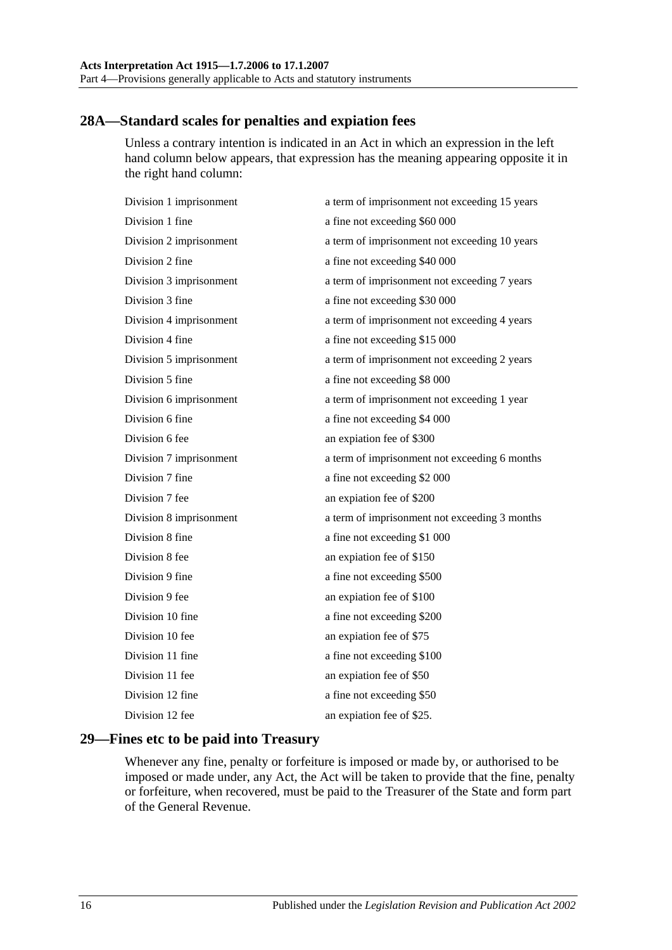## <span id="page-15-0"></span>**28A—Standard scales for penalties and expiation fees**

Unless a contrary intention is indicated in an Act in which an expression in the left hand column below appears, that expression has the meaning appearing opposite it in the right hand column:

| Division 1 imprisonment | a term of imprisonment not exceeding 15 years |
|-------------------------|-----------------------------------------------|
| Division 1 fine         | a fine not exceeding \$60 000                 |
| Division 2 imprisonment | a term of imprisonment not exceeding 10 years |
| Division 2 fine         | a fine not exceeding \$40 000                 |
| Division 3 imprisonment | a term of imprisonment not exceeding 7 years  |
| Division 3 fine         | a fine not exceeding \$30 000                 |
| Division 4 imprisonment | a term of imprisonment not exceeding 4 years  |
| Division 4 fine         | a fine not exceeding \$15 000                 |
| Division 5 imprisonment | a term of imprisonment not exceeding 2 years  |
| Division 5 fine         | a fine not exceeding \$8 000                  |
| Division 6 imprisonment | a term of imprisonment not exceeding 1 year   |
| Division 6 fine         | a fine not exceeding \$4 000                  |
| Division 6 fee          | an expiation fee of \$300                     |
| Division 7 imprisonment | a term of imprisonment not exceeding 6 months |
| Division 7 fine         | a fine not exceeding \$2 000                  |
| Division 7 fee          | an expiation fee of \$200                     |
| Division 8 imprisonment | a term of imprisonment not exceeding 3 months |
| Division 8 fine         | a fine not exceeding \$1 000                  |
| Division 8 fee          | an expiation fee of \$150                     |
| Division 9 fine         | a fine not exceeding \$500                    |
| Division 9 fee          | an expiation fee of \$100                     |
| Division 10 fine        | a fine not exceeding \$200                    |
| Division 10 fee         | an expiation fee of \$75                      |
| Division 11 fine        | a fine not exceeding \$100                    |
| Division 11 fee         | an expiation fee of \$50                      |
| Division 12 fine        | a fine not exceeding \$50                     |
| Division 12 fee         | an expiation fee of \$25.                     |
|                         |                                               |

## <span id="page-15-1"></span>**29—Fines etc to be paid into Treasury**

Whenever any fine, penalty or forfeiture is imposed or made by, or authorised to be imposed or made under, any Act, the Act will be taken to provide that the fine, penalty or forfeiture, when recovered, must be paid to the Treasurer of the State and form part of the General Revenue.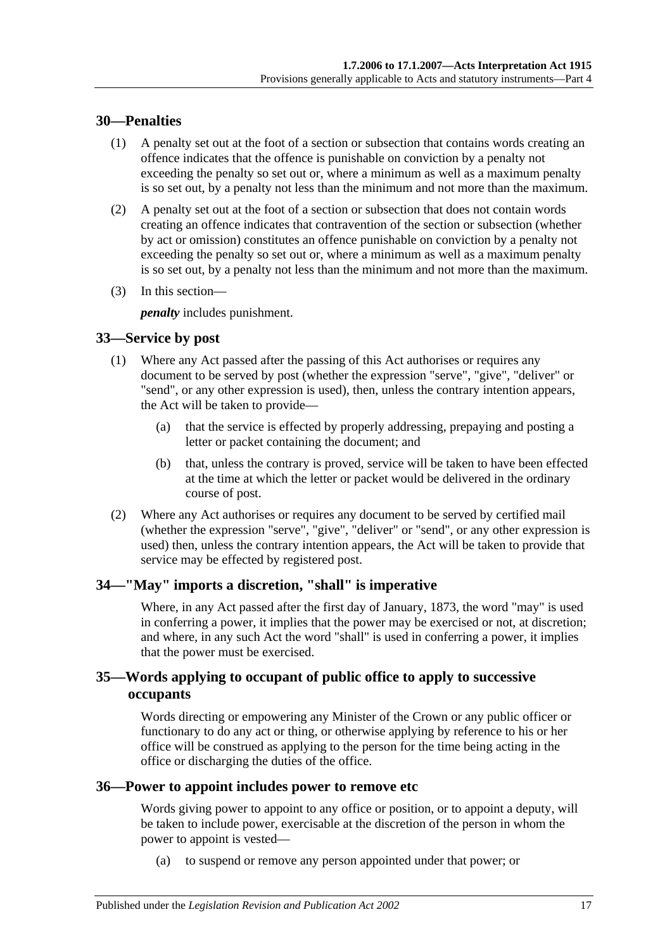#### <span id="page-16-0"></span>**30—Penalties**

- (1) A penalty set out at the foot of a section or subsection that contains words creating an offence indicates that the offence is punishable on conviction by a penalty not exceeding the penalty so set out or, where a minimum as well as a maximum penalty is so set out, by a penalty not less than the minimum and not more than the maximum.
- (2) A penalty set out at the foot of a section or subsection that does not contain words creating an offence indicates that contravention of the section or subsection (whether by act or omission) constitutes an offence punishable on conviction by a penalty not exceeding the penalty so set out or, where a minimum as well as a maximum penalty is so set out, by a penalty not less than the minimum and not more than the maximum.
- (3) In this section—

*penalty* includes punishment.

## <span id="page-16-1"></span>**33—Service by post**

- (1) Where any Act passed after the passing of this Act authorises or requires any document to be served by post (whether the expression "serve", "give", "deliver" or "send", or any other expression is used), then, unless the contrary intention appears, the Act will be taken to provide—
	- (a) that the service is effected by properly addressing, prepaying and posting a letter or packet containing the document; and
	- (b) that, unless the contrary is proved, service will be taken to have been effected at the time at which the letter or packet would be delivered in the ordinary course of post.
- (2) Where any Act authorises or requires any document to be served by certified mail (whether the expression "serve", "give", "deliver" or "send", or any other expression is used) then, unless the contrary intention appears, the Act will be taken to provide that service may be effected by registered post.

## <span id="page-16-2"></span>**34—"May" imports a discretion, "shall" is imperative**

Where, in any Act passed after the first day of January, 1873, the word "may" is used in conferring a power, it implies that the power may be exercised or not, at discretion; and where, in any such Act the word "shall" is used in conferring a power, it implies that the power must be exercised.

## <span id="page-16-3"></span>**35—Words applying to occupant of public office to apply to successive occupants**

Words directing or empowering any Minister of the Crown or any public officer or functionary to do any act or thing, or otherwise applying by reference to his or her office will be construed as applying to the person for the time being acting in the office or discharging the duties of the office.

#### <span id="page-16-4"></span>**36—Power to appoint includes power to remove etc**

Words giving power to appoint to any office or position, or to appoint a deputy, will be taken to include power, exercisable at the discretion of the person in whom the power to appoint is vested—

(a) to suspend or remove any person appointed under that power; or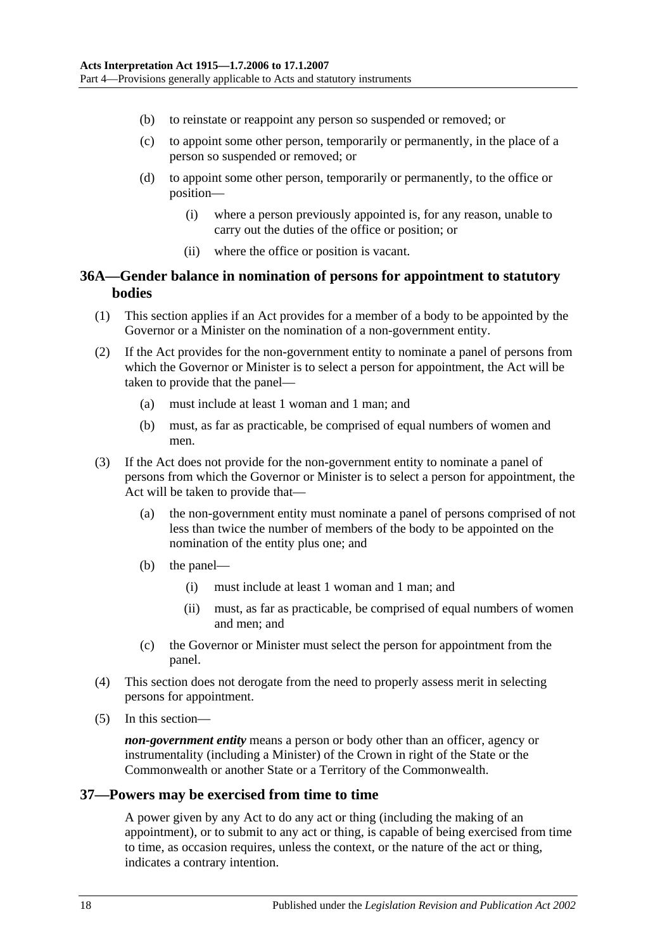- (b) to reinstate or reappoint any person so suspended or removed; or
- (c) to appoint some other person, temporarily or permanently, in the place of a person so suspended or removed; or
- (d) to appoint some other person, temporarily or permanently, to the office or position—
	- (i) where a person previously appointed is, for any reason, unable to carry out the duties of the office or position; or
	- (ii) where the office or position is vacant.

#### <span id="page-17-0"></span>**36A—Gender balance in nomination of persons for appointment to statutory bodies**

- (1) This section applies if an Act provides for a member of a body to be appointed by the Governor or a Minister on the nomination of a non-government entity.
- (2) If the Act provides for the non-government entity to nominate a panel of persons from which the Governor or Minister is to select a person for appointment, the Act will be taken to provide that the panel—
	- (a) must include at least 1 woman and 1 man; and
	- (b) must, as far as practicable, be comprised of equal numbers of women and men.
- (3) If the Act does not provide for the non-government entity to nominate a panel of persons from which the Governor or Minister is to select a person for appointment, the Act will be taken to provide that-
	- (a) the non-government entity must nominate a panel of persons comprised of not less than twice the number of members of the body to be appointed on the nomination of the entity plus one; and
	- (b) the panel—
		- (i) must include at least 1 woman and 1 man; and
		- (ii) must, as far as practicable, be comprised of equal numbers of women and men; and
	- (c) the Governor or Minister must select the person for appointment from the panel.
- (4) This section does not derogate from the need to properly assess merit in selecting persons for appointment.
- (5) In this section—

*non-government entity* means a person or body other than an officer, agency or instrumentality (including a Minister) of the Crown in right of the State or the Commonwealth or another State or a Territory of the Commonwealth.

#### <span id="page-17-1"></span>**37—Powers may be exercised from time to time**

A power given by any Act to do any act or thing (including the making of an appointment), or to submit to any act or thing, is capable of being exercised from time to time, as occasion requires, unless the context, or the nature of the act or thing, indicates a contrary intention.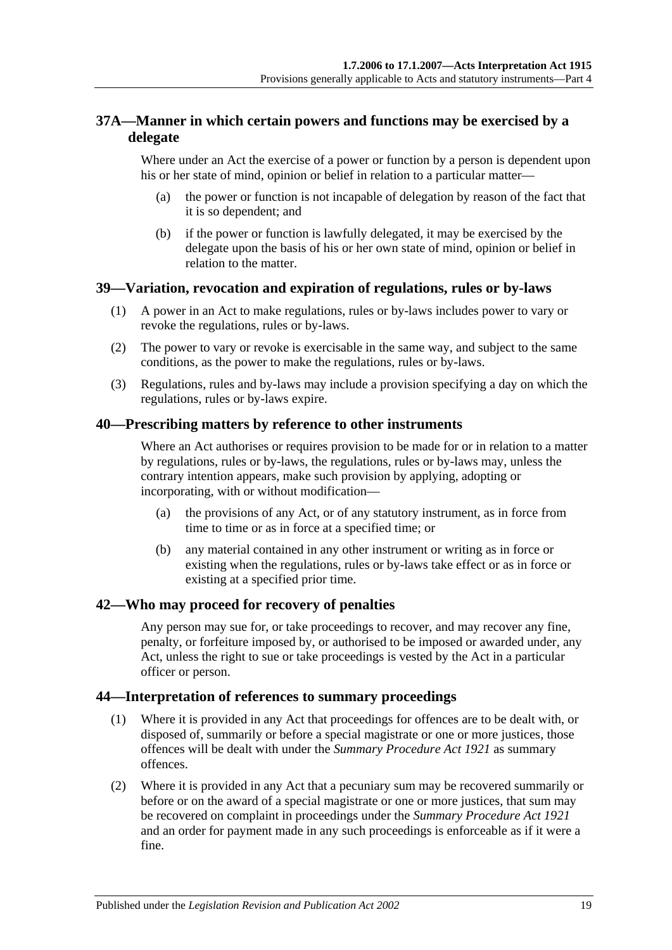## <span id="page-18-0"></span>**37A—Manner in which certain powers and functions may be exercised by a delegate**

Where under an Act the exercise of a power or function by a person is dependent upon his or her state of mind, opinion or belief in relation to a particular matter—

- (a) the power or function is not incapable of delegation by reason of the fact that it is so dependent; and
- (b) if the power or function is lawfully delegated, it may be exercised by the delegate upon the basis of his or her own state of mind, opinion or belief in relation to the matter.

## <span id="page-18-1"></span>**39—Variation, revocation and expiration of regulations, rules or by-laws**

- (1) A power in an Act to make regulations, rules or by-laws includes power to vary or revoke the regulations, rules or by-laws.
- (2) The power to vary or revoke is exercisable in the same way, and subject to the same conditions, as the power to make the regulations, rules or by-laws.
- (3) Regulations, rules and by-laws may include a provision specifying a day on which the regulations, rules or by-laws expire.

#### <span id="page-18-2"></span>**40—Prescribing matters by reference to other instruments**

Where an Act authorises or requires provision to be made for or in relation to a matter by regulations, rules or by-laws, the regulations, rules or by-laws may, unless the contrary intention appears, make such provision by applying, adopting or incorporating, with or without modification—

- (a) the provisions of any Act, or of any statutory instrument, as in force from time to time or as in force at a specified time; or
- (b) any material contained in any other instrument or writing as in force or existing when the regulations, rules or by-laws take effect or as in force or existing at a specified prior time.

#### <span id="page-18-3"></span>**42—Who may proceed for recovery of penalties**

Any person may sue for, or take proceedings to recover, and may recover any fine, penalty, or forfeiture imposed by, or authorised to be imposed or awarded under, any Act, unless the right to sue or take proceedings is vested by the Act in a particular officer or person.

#### <span id="page-18-4"></span>**44—Interpretation of references to summary proceedings**

- (1) Where it is provided in any Act that proceedings for offences are to be dealt with, or disposed of, summarily or before a special magistrate or one or more justices, those offences will be dealt with under the *[Summary Procedure Act](http://www.legislation.sa.gov.au/index.aspx?action=legref&type=act&legtitle=Summary%20Procedure%20Act%201921) 1921* as summary offences.
- (2) Where it is provided in any Act that a pecuniary sum may be recovered summarily or before or on the award of a special magistrate or one or more justices, that sum may be recovered on complaint in proceedings under the *[Summary Procedure Act](http://www.legislation.sa.gov.au/index.aspx?action=legref&type=act&legtitle=Summary%20Procedure%20Act%201921) 1921* and an order for payment made in any such proceedings is enforceable as if it were a fine.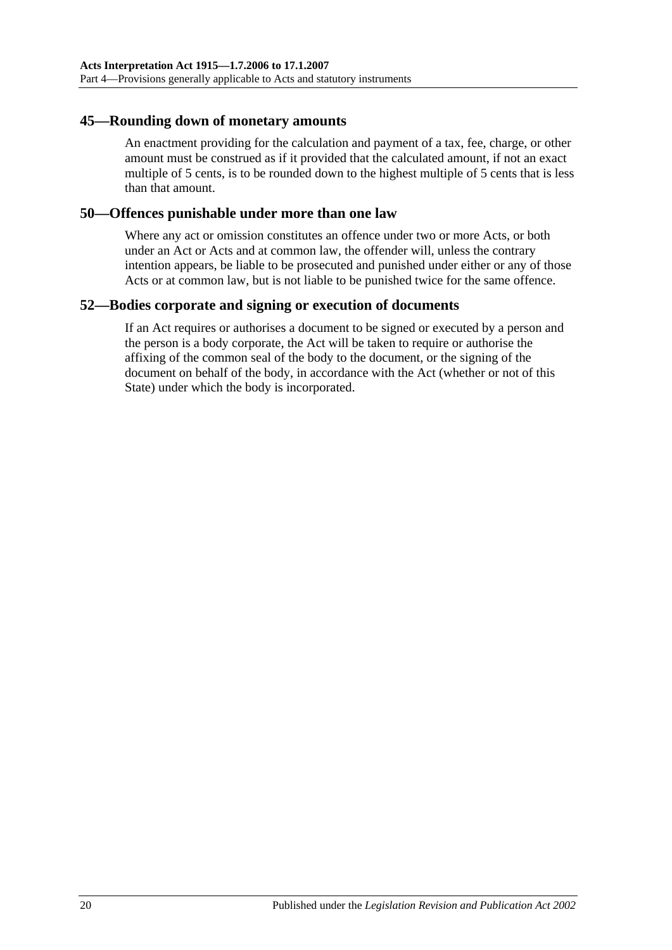#### <span id="page-19-0"></span>**45—Rounding down of monetary amounts**

An enactment providing for the calculation and payment of a tax, fee, charge, or other amount must be construed as if it provided that the calculated amount, if not an exact multiple of 5 cents, is to be rounded down to the highest multiple of 5 cents that is less than that amount.

#### <span id="page-19-1"></span>**50—Offences punishable under more than one law**

Where any act or omission constitutes an offence under two or more Acts, or both under an Act or Acts and at common law, the offender will, unless the contrary intention appears, be liable to be prosecuted and punished under either or any of those Acts or at common law, but is not liable to be punished twice for the same offence.

#### <span id="page-19-2"></span>**52—Bodies corporate and signing or execution of documents**

If an Act requires or authorises a document to be signed or executed by a person and the person is a body corporate, the Act will be taken to require or authorise the affixing of the common seal of the body to the document, or the signing of the document on behalf of the body, in accordance with the Act (whether or not of this State) under which the body is incorporated.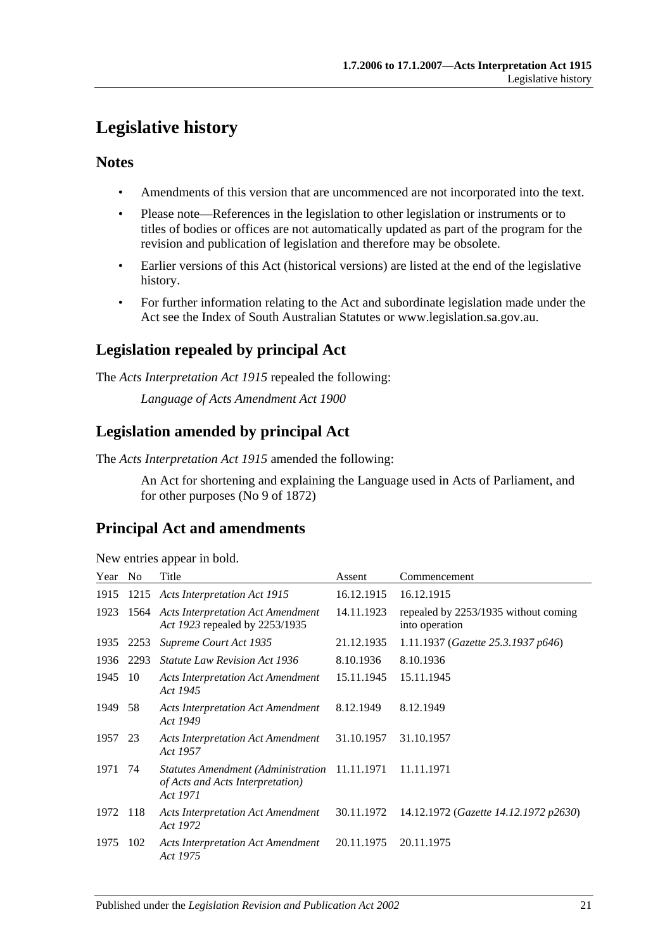## <span id="page-20-0"></span>**Legislative history**

## **Notes**

- Amendments of this version that are uncommenced are not incorporated into the text.
- Please note—References in the legislation to other legislation or instruments or to titles of bodies or offices are not automatically updated as part of the program for the revision and publication of legislation and therefore may be obsolete.
- Earlier versions of this Act (historical versions) are listed at the end of the legislative history.
- For further information relating to the Act and subordinate legislation made under the Act see the Index of South Australian Statutes or www.legislation.sa.gov.au.

## **Legislation repealed by principal Act**

The *Acts Interpretation Act 1915* repealed the following:

*Language of Acts Amendment Act 1900*

## **Legislation amended by principal Act**

The *Acts Interpretation Act 1915* amended the following:

An Act for shortening and explaining the Language used in Acts of Parliament, and for other purposes (No 9 of 1872)

## **Principal Act and amendments**

| New entries appear in bold. |  |  |
|-----------------------------|--|--|
|                             |  |  |

| Year | N <sub>0</sub> | Title                                                                                         | Assent     | Commencement                                           |
|------|----------------|-----------------------------------------------------------------------------------------------|------------|--------------------------------------------------------|
| 1915 |                | 1215 Acts Interpretation Act 1915                                                             | 16.12.1915 | 16.12.1915                                             |
| 1923 |                | 1564 Acts Interpretation Act Amendment<br>Act 1923 repealed by 2253/1935                      | 14.11.1923 | repealed by 2253/1935 without coming<br>into operation |
| 1935 | 2253           | Supreme Court Act 1935                                                                        | 21.12.1935 | 1.11.1937 (Gazette 25.3.1937 p646)                     |
| 1936 | 2293           | <b>Statute Law Revision Act 1936</b>                                                          | 8.10.1936  | 8.10.1936                                              |
| 1945 | 10             | <b>Acts Interpretation Act Amendment</b><br>Act 1945                                          | 15.11.1945 | 15.11.1945                                             |
| 1949 | 58             | <b>Acts Interpretation Act Amendment</b><br>Act 1949                                          | 8.12.1949  | 8.12.1949                                              |
| 1957 | 23             | <b>Acts Interpretation Act Amendment</b><br>Act 1957                                          | 31.10.1957 | 31.10.1957                                             |
| 1971 | 74             | Statutes Amendment (Administration 11.11.1971<br>of Acts and Acts Interpretation)<br>Act 1971 |            | 11.11.1971                                             |
| 1972 | 118            | <b>Acts Interpretation Act Amendment</b><br>Act 1972                                          | 30.11.1972 | 14.12.1972 (Gazette 14.12.1972 p2630)                  |
| 1975 | 102            | <b>Acts Interpretation Act Amendment</b><br>Act 1975                                          | 20.11.1975 | 20.11.1975                                             |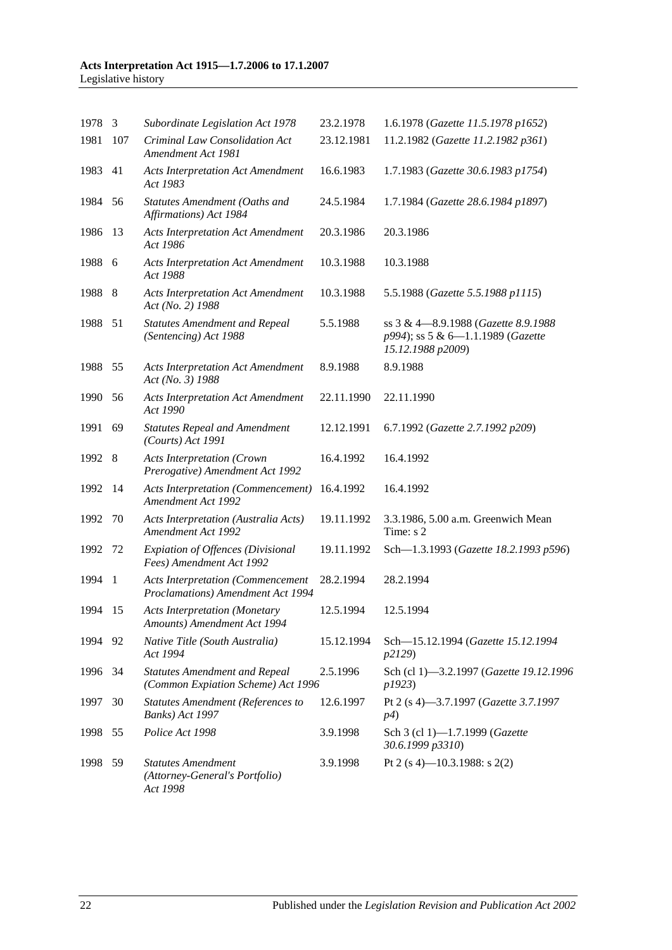#### **Acts Interpretation Act 1915—1.7.2006 to 17.1.2007** Legislative history

| 1978 3  |     | Subordinate Legislation Act 1978                                              | 23.2.1978  | 1.6.1978 (Gazette 11.5.1978 p1652)                                                             |
|---------|-----|-------------------------------------------------------------------------------|------------|------------------------------------------------------------------------------------------------|
| 1981    | 107 | Criminal Law Consolidation Act<br>Amendment Act 1981                          | 23.12.1981 | 11.2.1982 (Gazette 11.2.1982 p361)                                                             |
| 1983    | 41  | <b>Acts Interpretation Act Amendment</b><br>Act 1983                          | 16.6.1983  | 1.7.1983 (Gazette 30.6.1983 p1754)                                                             |
| 1984    | 56  | Statutes Amendment (Oaths and<br>Affirmations) Act 1984                       | 24.5.1984  | 1.7.1984 (Gazette 28.6.1984 p1897)                                                             |
| 1986    | 13  | <b>Acts Interpretation Act Amendment</b><br>Act 1986                          | 20.3.1986  | 20.3.1986                                                                                      |
| 1988 6  |     | <b>Acts Interpretation Act Amendment</b><br>Act 1988                          | 10.3.1988  | 10.3.1988                                                                                      |
| 1988 8  |     | <b>Acts Interpretation Act Amendment</b><br>Act (No. 2) 1988                  | 10.3.1988  | 5.5.1988 (Gazette 5.5.1988 p1115)                                                              |
| 1988    | 51  | <b>Statutes Amendment and Repeal</b><br>(Sentencing) Act 1988                 | 5.5.1988   | ss 3 & 4-8.9.1988 (Gazette 8.9.1988)<br>p994); ss 5 & 6-1.1.1989 (Gazette<br>15.12.1988 p2009) |
| 1988 55 |     | <b>Acts Interpretation Act Amendment</b><br>Act (No. 3) 1988                  | 8.9.1988   | 8.9.1988                                                                                       |
| 1990    | 56  | <b>Acts Interpretation Act Amendment</b><br>Act 1990                          | 22.11.1990 | 22.11.1990                                                                                     |
| 1991    | 69  | <b>Statutes Repeal and Amendment</b><br>(Courts) Act 1991                     | 12.12.1991 | 6.7.1992 (Gazette 2.7.1992 p209)                                                               |
| 1992 8  |     | <b>Acts Interpretation (Crown</b><br>Prerogative) Amendment Act 1992          | 16.4.1992  | 16.4.1992                                                                                      |
| 1992 14 |     | <b>Acts Interpretation (Commencement)</b><br>Amendment Act 1992               | 16.4.1992  | 16.4.1992                                                                                      |
| 1992    | 70  | Acts Interpretation (Australia Acts)<br>Amendment Act 1992                    | 19.11.1992 | 3.3.1986, 5.00 a.m. Greenwich Mean<br>Time: s 2                                                |
| 1992    | 72  | <b>Expiation of Offences (Divisional</b><br>Fees) Amendment Act 1992          | 19.11.1992 | Sch-1.3.1993 (Gazette 18.2.1993 p596)                                                          |
| 1994 1  |     | <b>Acts Interpretation (Commencement</b><br>Proclamations) Amendment Act 1994 | 28.2.1994  | 28.2.1994                                                                                      |
| 1994    | -15 | <b>Acts Interpretation (Monetary</b><br>Amounts) Amendment Act 1994           | 12.5.1994  | 12.5.1994                                                                                      |
| 1994    | 92  | Native Title (South Australia)<br>Act 1994                                    | 15.12.1994 | Sch-15.12.1994 (Gazette 15.12.1994<br>p2129)                                                   |
| 1996 34 |     | <b>Statutes Amendment and Repeal</b><br>(Common Expiation Scheme) Act 1996    | 2.5.1996   | Sch (cl 1)-3.2.1997 (Gazette 19.12.1996<br>p1923)                                              |
| 1997    | 30  | <b>Statutes Amendment (References to</b><br>Banks) Act 1997                   | 12.6.1997  | Pt 2 (s 4)-3.7.1997 (Gazette 3.7.1997<br>p4)                                                   |
| 1998 55 |     | Police Act 1998                                                               | 3.9.1998   | Sch 3 (cl 1)-1.7.1999 (Gazette<br>30.6.1999 p3310)                                             |
| 1998    | 59  | <b>Statutes Amendment</b><br>(Attorney-General's Portfolio)<br>Act 1998       | 3.9.1998   | Pt 2 (s 4)–10.3.1988: s 2(2)                                                                   |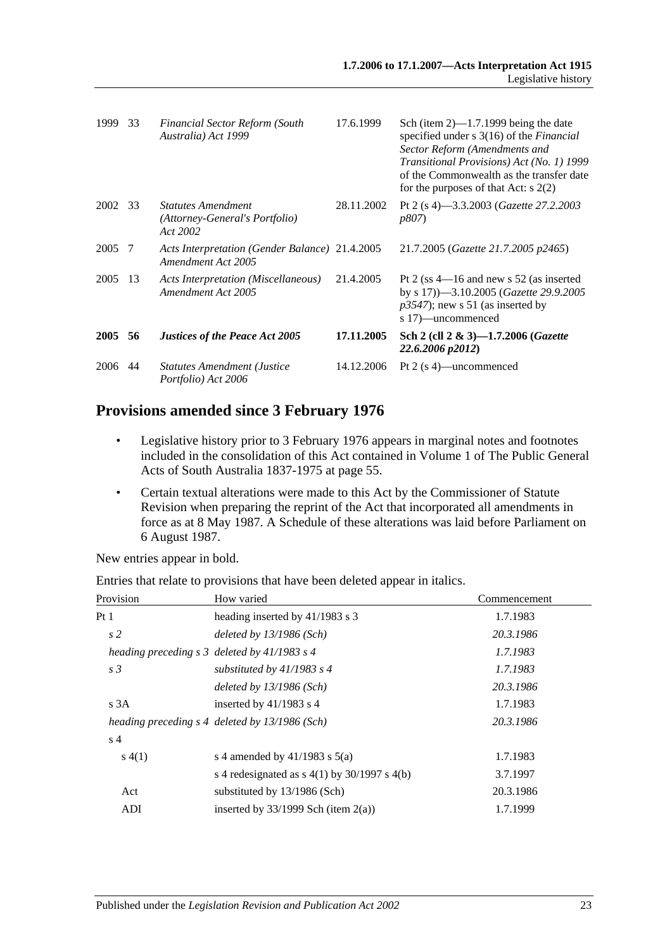| 1999    | 33  | <b>Financial Sector Reform (South</b><br>Australia) Act 1999            | 17.6.1999  | Sch (item $2$ )—1.7.1999 being the date<br>specified under s 3(16) of the <i>Financial</i><br>Sector Reform (Amendments and<br>Transitional Provisions) Act (No. 1) 1999<br>of the Commonwealth as the transfer date<br>for the purposes of that Act: $s$ 2(2) |
|---------|-----|-------------------------------------------------------------------------|------------|----------------------------------------------------------------------------------------------------------------------------------------------------------------------------------------------------------------------------------------------------------------|
| 2002 33 |     | <i>Statutes Amendment</i><br>(Attorney-General's Portfolio)<br>Act 2002 | 28.11.2002 | Pt 2 (s 4)—3.3.2003 ( <i>Gazette 27.2.2003</i><br><i>p807</i> )                                                                                                                                                                                                |
| 2005    | -7  | Acts Interpretation (Gender Balance) 21.4.2005<br>Amendment Act 2005    |            | 21.7.2005 (Gazette 21.7.2005 p2465)                                                                                                                                                                                                                            |
| 2005    | -13 | Acts Interpretation (Miscellaneous)<br>Amendment Act 2005               | 21.4.2005  | Pt 2 (ss $4-16$ and new s 52 (as inserted<br>by s 17))-3.10.2005 (Gazette 29.9.2005<br>$p3547$ ; new s 51 (as inserted by<br>s 17)—uncommenced                                                                                                                 |
| 2005    | 56  | <b>Justices of the Peace Act 2005</b>                                   | 17.11.2005 | Sch 2 (cll 2 & 3)-1.7.2006 ( <i>Gazette</i><br>22.6.2006 p2012)                                                                                                                                                                                                |
| 2006    | 44  | <b>Statutes Amendment (Justice</b><br>Portfolio) Act 2006               | 14.12.2006 | Pt 2 $(s 4)$ —uncommenced                                                                                                                                                                                                                                      |

## **Provisions amended since 3 February 1976**

- Legislative history prior to 3 February 1976 appears in marginal notes and footnotes included in the consolidation of this Act contained in Volume 1 of The Public General Acts of South Australia 1837-1975 at page 55.
- Certain textual alterations were made to this Act by the Commissioner of Statute Revision when preparing the reprint of the Act that incorporated all amendments in force as at 8 May 1987. A Schedule of these alterations was laid before Parliament on 6 August 1987.

New entries appear in bold.

| Provision      | How varied                                        | Commencement |
|----------------|---------------------------------------------------|--------------|
| Pt 1           | heading inserted by 41/1983 s 3                   | 1.7.1983     |
| s <sub>2</sub> | deleted by $13/1986$ (Sch)                        | 20.3.1986    |
|                | heading preceding $s \, 3$ deleted by 41/1983 s 4 | 1.7.1983     |
| s <sub>3</sub> | substituted by $41/1983$ s 4                      | 1.7.1983     |
|                | deleted by $13/1986$ (Sch)                        | 20.3.1986    |
| s3A            | inserted by $41/1983$ s 4                         | 1.7.1983     |
|                | heading preceding s 4 deleted by 13/1986 (Sch)    | 20.3.1986    |
| s <sub>4</sub> |                                                   |              |
| s(4(1))        | s 4 amended by $41/1983$ s $5(a)$                 | 1.7.1983     |
|                | s 4 redesignated as $s$ 4(1) by 30/1997 s 4(b)    | 3.7.1997     |
| Act            | substituted by 13/1986 (Sch)                      | 20.3.1986    |
| <b>ADI</b>     | inserted by $33/1999$ Sch (item 2(a))             | 1.7.1999     |

Entries that relate to provisions that have been deleted appear in italics.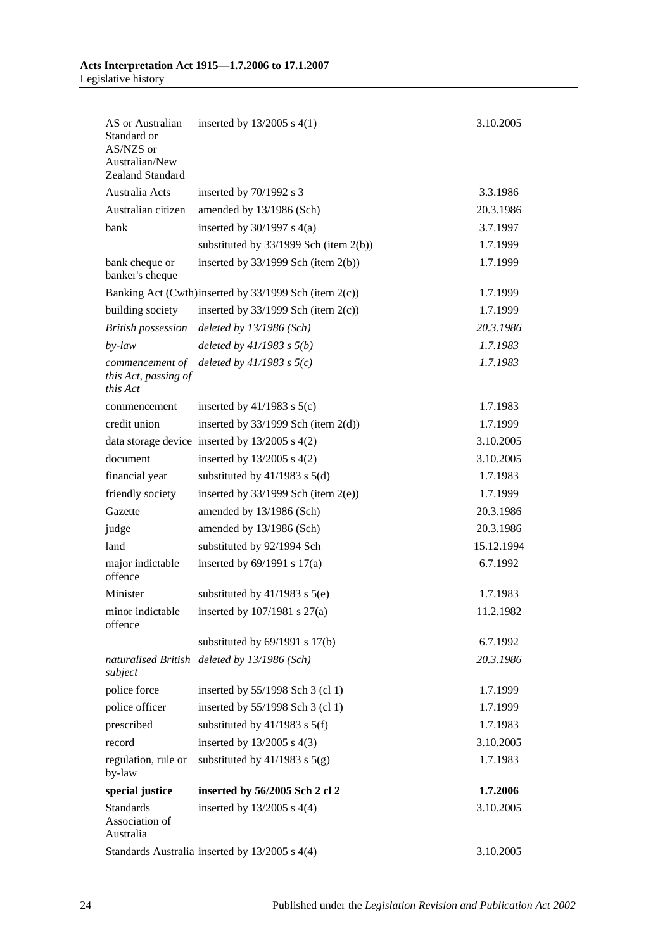| AS or Australian<br>Standard or<br>AS/NZS or<br>Australian/New<br>Zealand Standard | inserted by $13/2005$ s $4(1)$                        | 3.10.2005  |
|------------------------------------------------------------------------------------|-------------------------------------------------------|------------|
| Australia Acts                                                                     |                                                       | 3.3.1986   |
| Australian citizen                                                                 | inserted by 70/1992 s 3                               |            |
|                                                                                    | amended by 13/1986 (Sch)                              | 20.3.1986  |
| hank                                                                               | inserted by $30/1997$ s $4(a)$                        | 3.7.1997   |
|                                                                                    | substituted by $33/1999$ Sch (item 2(b))              | 1.7.1999   |
| bank cheque or<br>banker's cheque                                                  | inserted by $33/1999$ Sch (item $2(b)$ )              | 1.7.1999   |
|                                                                                    | Banking Act (Cwth)inserted by 33/1999 Sch (item 2(c)) | 1.7.1999   |
| building society                                                                   | inserted by $33/1999$ Sch (item $2(c)$ )              | 1.7.1999   |
| <b>British possession</b>                                                          | deleted by $13/1986$ (Sch)                            | 20.3.1986  |
| $by$ -law                                                                          | deleted by $41/1983$ s $5(b)$                         | 1.7.1983   |
| commencement of<br>this Act, passing of<br>this Act                                | deleted by $41/1983$ s $5(c)$                         | 1.7.1983   |
| commencement                                                                       | inserted by $41/1983$ s $5(c)$                        | 1.7.1983   |
| credit union                                                                       | inserted by $33/1999$ Sch (item $2(d)$ )              | 1.7.1999   |
|                                                                                    | data storage device inserted by $13/2005$ s $4(2)$    | 3.10.2005  |
| document                                                                           | inserted by 13/2005 s 4(2)                            | 3.10.2005  |
| financial year                                                                     | substituted by $41/1983$ s $5(d)$                     | 1.7.1983   |
| friendly society                                                                   | inserted by $33/1999$ Sch (item $2(e)$ )              | 1.7.1999   |
| Gazette                                                                            | amended by 13/1986 (Sch)                              | 20.3.1986  |
| judge                                                                              | amended by 13/1986 (Sch)                              | 20.3.1986  |
| land                                                                               | substituted by 92/1994 Sch                            | 15.12.1994 |
| major indictable<br>offence                                                        | inserted by $69/1991$ s $17(a)$                       | 6.7.1992   |
| Minister                                                                           | substituted by $41/1983$ s $5(e)$                     | 1.7.1983   |
| minor indictable<br>offence                                                        | inserted by $107/1981$ s $27(a)$                      | 11.2.1982  |
|                                                                                    | substituted by $69/1991$ s $17(b)$                    | 6.7.1992   |
| subject                                                                            | naturalised British deleted by 13/1986 (Sch)          | 20.3.1986  |
| police force                                                                       | inserted by 55/1998 Sch 3 (cl 1)                      | 1.7.1999   |
| police officer                                                                     | inserted by 55/1998 Sch 3 (cl 1)                      | 1.7.1999   |
| prescribed                                                                         | substituted by $41/1983$ s $5(f)$                     | 1.7.1983   |
| record                                                                             | inserted by $13/2005$ s $4(3)$                        | 3.10.2005  |
| regulation, rule or<br>by-law                                                      | substituted by $41/1983$ s $5(g)$                     | 1.7.1983   |
| special justice                                                                    | inserted by 56/2005 Sch 2 cl 2                        | 1.7.2006   |
| <b>Standards</b><br>Association of<br>Australia                                    | inserted by $13/2005$ s $4(4)$                        | 3.10.2005  |
|                                                                                    | Standards Australia inserted by 13/2005 s 4(4)        | 3.10.2005  |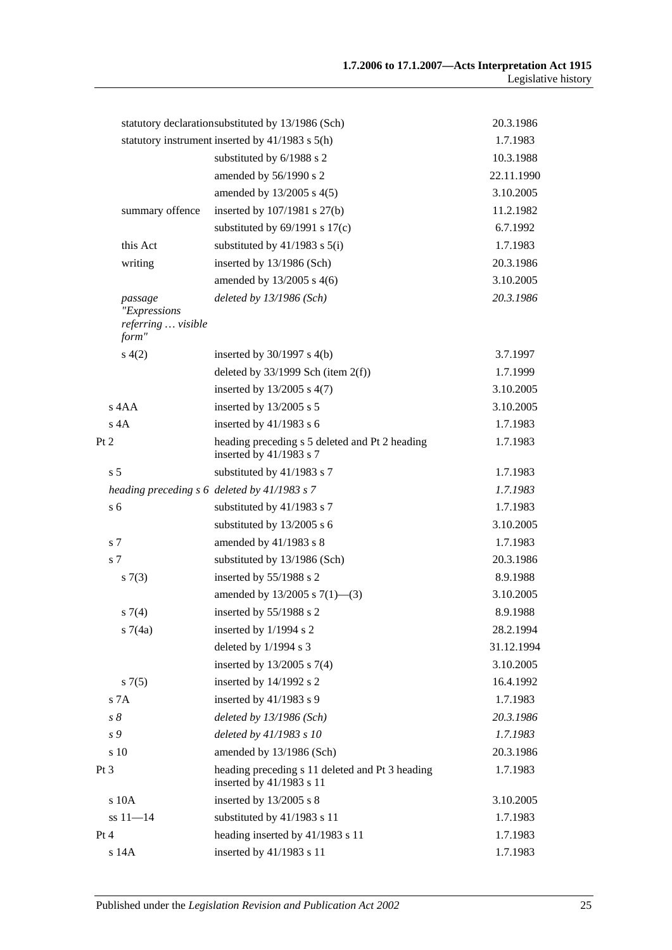|      |                                                        | statutory declarationsubstituted by 13/1986 (Sch)                           | 20.3.1986  |
|------|--------------------------------------------------------|-----------------------------------------------------------------------------|------------|
|      |                                                        | statutory instrument inserted by 41/1983 s 5(h)                             | 1.7.1983   |
|      |                                                        | substituted by 6/1988 s 2                                                   | 10.3.1988  |
|      |                                                        | amended by 56/1990 s 2                                                      | 22.11.1990 |
|      |                                                        | amended by 13/2005 s 4(5)                                                   | 3.10.2005  |
|      | summary offence                                        | inserted by 107/1981 s 27(b)                                                | 11.2.1982  |
|      |                                                        | substituted by $69/1991$ s $17(c)$                                          | 6.7.1992   |
|      | this Act                                               | substituted by $41/1983$ s $5(i)$                                           | 1.7.1983   |
|      | writing                                                | inserted by 13/1986 (Sch)                                                   | 20.3.1986  |
|      |                                                        | amended by 13/2005 s 4(6)                                                   | 3.10.2005  |
|      | passage<br>"Expressions<br>referring  visible<br>form" | deleted by $13/1986$ (Sch)                                                  | 20.3.1986  |
|      | s(4(2)                                                 | inserted by $30/1997$ s $4(b)$                                              | 3.7.1997   |
|      |                                                        | deleted by $33/1999$ Sch (item $2(f)$ )                                     | 1.7.1999   |
|      |                                                        | inserted by 13/2005 s 4(7)                                                  | 3.10.2005  |
|      | $s$ 4AA                                                | inserted by 13/2005 s 5                                                     | 3.10.2005  |
|      | $s$ 4A                                                 | inserted by $41/1983$ s 6                                                   | 1.7.1983   |
| Pt 2 |                                                        | heading preceding s 5 deleted and Pt 2 heading<br>inserted by 41/1983 s 7   | 1.7.1983   |
|      | s <sub>5</sub>                                         | substituted by 41/1983 s 7                                                  | 1.7.1983   |
|      |                                                        | heading preceding s 6 deleted by 41/1983 s 7                                | 1.7.1983   |
|      | s <sub>6</sub>                                         | substituted by 41/1983 s 7                                                  | 1.7.1983   |
|      |                                                        | substituted by 13/2005 s 6                                                  | 3.10.2005  |
|      | s 7                                                    | amended by 41/1983 s 8                                                      | 1.7.1983   |
|      | s 7                                                    | substituted by 13/1986 (Sch)                                                | 20.3.1986  |
|      | s(7(3))                                                | inserted by 55/1988 s 2                                                     | 8.9.1988   |
|      |                                                        | amended by $13/2005$ s $7(1)$ —(3)                                          | 3.10.2005  |
|      | s7(4)                                                  | inserted by 55/1988 s 2                                                     | 8.9.1988   |
|      | s7(4a)                                                 | inserted by 1/1994 s 2                                                      | 28.2.1994  |
|      |                                                        | deleted by 1/1994 s 3                                                       | 31.12.1994 |
|      |                                                        | inserted by $13/2005$ s 7(4)                                                | 3.10.2005  |
|      | s(7(5)                                                 | inserted by 14/1992 s 2                                                     | 16.4.1992  |
|      | s 7A                                                   | inserted by $41/1983$ s 9                                                   | 1.7.1983   |
|      | $s\,\delta$                                            | deleted by $13/1986$ (Sch)                                                  | 20.3.1986  |
|      | s 9                                                    | deleted by 41/1983 s 10                                                     | 1.7.1983   |
|      | s 10                                                   | amended by 13/1986 (Sch)                                                    | 20.3.1986  |
| Pt 3 |                                                        | heading preceding s 11 deleted and Pt 3 heading<br>inserted by 41/1983 s 11 | 1.7.1983   |
|      | s 10A                                                  | inserted by $13/2005$ s 8                                                   | 3.10.2005  |
|      | $ss 11 - 14$                                           | substituted by 41/1983 s 11                                                 | 1.7.1983   |
| Pt 4 |                                                        | heading inserted by 41/1983 s 11                                            | 1.7.1983   |
|      | s 14A                                                  | inserted by 41/1983 s 11                                                    | 1.7.1983   |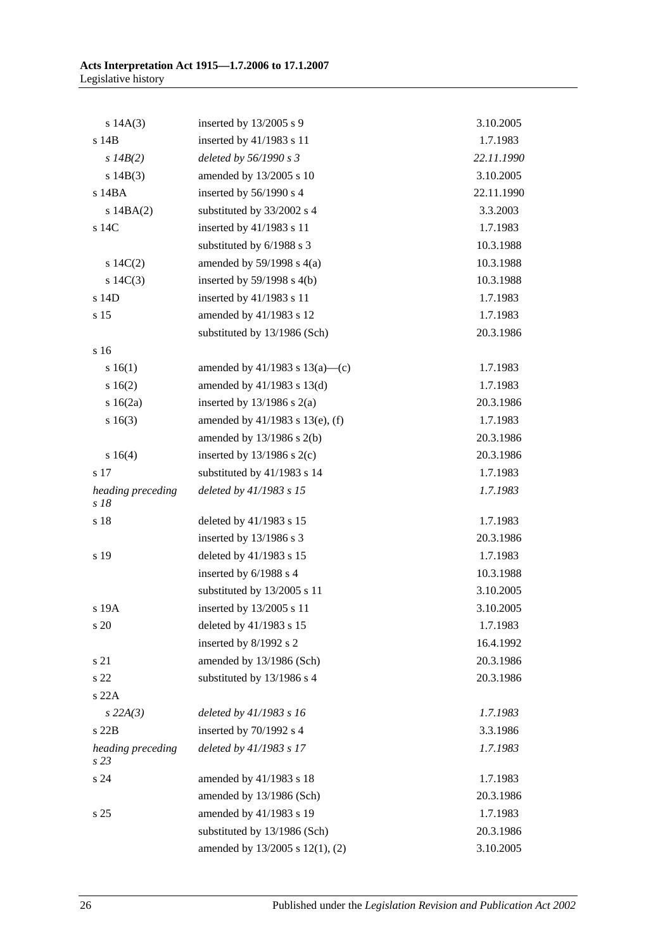| s 14A(3)                  | inserted by $13/2005$ s 9           | 3.10.2005  |
|---------------------------|-------------------------------------|------------|
| s 14B                     | inserted by 41/1983 s 11            | 1.7.1983   |
| $s$ 14B(2)                | deleted by 56/1990 s 3              | 22.11.1990 |
| s 14B(3)                  | amended by 13/2005 s 10             | 3.10.2005  |
| s 14BA                    | inserted by 56/1990 s 4             | 22.11.1990 |
| $s$ 14BA $(2)$            | substituted by 33/2002 s 4          | 3.3.2003   |
| s 14C                     | inserted by 41/1983 s 11            | 1.7.1983   |
|                           | substituted by 6/1988 s 3           | 10.3.1988  |
| 14C(2)                    | amended by $59/1998$ s $4(a)$       | 10.3.1988  |
| s $14C(3)$                | inserted by $59/1998$ s $4(b)$      | 10.3.1988  |
| s 14D                     | inserted by 41/1983 s 11            | 1.7.1983   |
| s 15                      | amended by 41/1983 s 12             | 1.7.1983   |
|                           | substituted by 13/1986 (Sch)        | 20.3.1986  |
| s <sub>16</sub>           |                                     |            |
| s 16(1)                   | amended by $41/1983$ s $13(a)$ —(c) | 1.7.1983   |
| 16(2)                     | amended by $41/1983$ s $13(d)$      | 1.7.1983   |
| $s \ 16(2a)$              | inserted by $13/1986$ s $2(a)$      | 20.3.1986  |
| s16(3)                    | amended by 41/1983 s 13(e), (f)     | 1.7.1983   |
|                           | amended by $13/1986$ s $2(b)$       | 20.3.1986  |
| s 16(4)                   | inserted by $13/1986$ s $2(c)$      | 20.3.1986  |
| s 17                      | substituted by 41/1983 s 14         | 1.7.1983   |
| heading preceding<br>s 18 | deleted by 41/1983 s 15             | 1.7.1983   |
| s 18                      | deleted by 41/1983 s 15             | 1.7.1983   |
|                           | inserted by $13/1986$ s 3           | 20.3.1986  |
| s 19                      | deleted by 41/1983 s 15             | 1.7.1983   |
|                           | inserted by 6/1988 s 4              | 10.3.1988  |
|                           | substituted by 13/2005 s 11         | 3.10.2005  |
| s 19A                     | inserted by 13/2005 s 11            | 3.10.2005  |
| s 20                      | deleted by 41/1983 s 15             | 1.7.1983   |
|                           | inserted by 8/1992 s 2              | 16.4.1992  |
| s 21                      | amended by 13/1986 (Sch)            | 20.3.1986  |
| s 22                      | substituted by 13/1986 s 4          | 20.3.1986  |
| s 22A                     |                                     |            |
| $s$ 22A(3)                | deleted by 41/1983 s 16             | 1.7.1983   |
| s22B                      | inserted by 70/1992 s 4             | 3.3.1986   |
| heading preceding<br>s 23 | deleted by 41/1983 s 17             | 1.7.1983   |
| s 24                      | amended by 41/1983 s 18             | 1.7.1983   |
|                           | amended by 13/1986 (Sch)            | 20.3.1986  |
| s 25                      | amended by 41/1983 s 19             | 1.7.1983   |
|                           | substituted by 13/1986 (Sch)        | 20.3.1986  |
|                           | amended by 13/2005 s 12(1), (2)     | 3.10.2005  |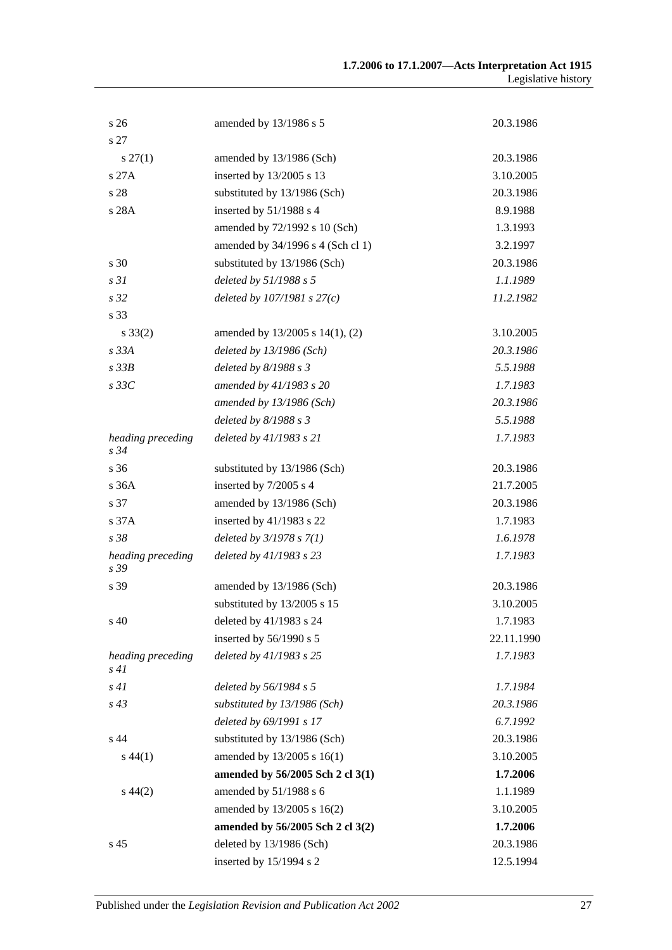| s 26                      | amended by 13/1986 s 5            | 20.3.1986  |
|---------------------------|-----------------------------------|------------|
| s 27                      |                                   |            |
| $s\,27(1)$                | amended by 13/1986 (Sch)          | 20.3.1986  |
| s 27A                     | inserted by 13/2005 s 13          | 3.10.2005  |
| s 28                      | substituted by 13/1986 (Sch)      | 20.3.1986  |
| s 28A                     | inserted by 51/1988 s 4           | 8.9.1988   |
|                           | amended by 72/1992 s 10 (Sch)     | 1.3.1993   |
|                           | amended by 34/1996 s 4 (Sch cl 1) | 3.2.1997   |
| s 30                      | substituted by 13/1986 (Sch)      | 20.3.1986  |
| s31                       | deleted by 51/1988 s 5            | 1.1.1989   |
| s 32                      | deleted by $107/1981 s 27(c)$     | 11.2.1982  |
| s 33                      |                                   |            |
| $s \, 33(2)$              | amended by 13/2005 s 14(1), (2)   | 3.10.2005  |
| s33A                      | deleted by 13/1986 (Sch)          | 20.3.1986  |
| s33B                      | deleted by $8/1988 s 3$           | 5.5.1988   |
| $s$ 33 $C$                | amended by 41/1983 s 20           | 1.7.1983   |
|                           | amended by 13/1986 (Sch)          | 20.3.1986  |
|                           | deleted by $8/1988 s 3$           | 5.5.1988   |
| heading preceding<br>s 34 | deleted by 41/1983 s 21           | 1.7.1983   |
| s 36                      | substituted by 13/1986 (Sch)      | 20.3.1986  |
| s 36A                     | inserted by 7/2005 s 4            | 21.7.2005  |
| s 37                      | amended by 13/1986 (Sch)          | 20.3.1986  |
| s 37A                     | inserted by 41/1983 s 22          | 1.7.1983   |
| s 38                      | deleted by $3/1978 s 7(1)$        | 1.6.1978   |
| heading preceding<br>s 39 | deleted by 41/1983 s 23           | 1.7.1983   |
| s 39                      | amended by 13/1986 (Sch)          | 20.3.1986  |
|                           | substituted by 13/2005 s 15       | 3.10.2005  |
| s 40                      | deleted by 41/1983 s 24           | 1.7.1983   |
|                           | inserted by 56/1990 s 5           | 22.11.1990 |
| heading preceding<br>s41  | deleted by 41/1983 s 25           | 1.7.1983   |
| s41                       | deleted by 56/1984 s 5            | 1.7.1984   |
| $s\,43$                   | substituted by 13/1986 (Sch)      | 20.3.1986  |
|                           | deleted by 69/1991 s 17           | 6.7.1992   |
| s 44                      | substituted by 13/1986 (Sch)      | 20.3.1986  |
| $s\,44(1)$                | amended by 13/2005 s 16(1)        | 3.10.2005  |
|                           | amended by 56/2005 Sch 2 cl 3(1)  | 1.7.2006   |
| $s\,44(2)$                | amended by 51/1988 s 6            | 1.1.1989   |
|                           | amended by 13/2005 s 16(2)        | 3.10.2005  |
|                           | amended by 56/2005 Sch 2 cl 3(2)  | 1.7.2006   |
| s 45                      | deleted by 13/1986 (Sch)          | 20.3.1986  |
|                           | inserted by 15/1994 s 2           | 12.5.1994  |